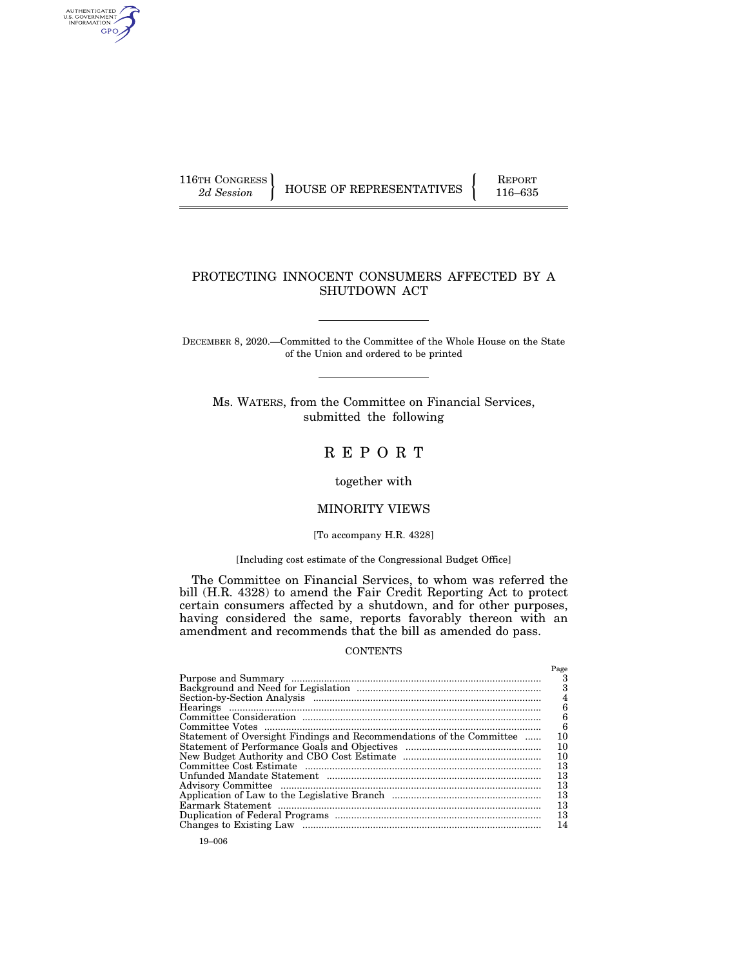AUTHENTICATED<br>U.S. GOVERNMENT<br>INFORMATION

GPO

116TH CONGRESS HOUSE OF REPRESENTATIVES FEPORT 116–635

# PROTECTING INNOCENT CONSUMERS AFFECTED BY A SHUTDOWN ACT

DECEMBER 8, 2020.—Committed to the Committee of the Whole House on the State of the Union and ordered to be printed

Ms. WATERS, from the Committee on Financial Services, submitted the following

# R E P O R T

together with

# MINORITY VIEWS

[To accompany H.R. 4328]

### [Including cost estimate of the Congressional Budget Office]

The Committee on Financial Services, to whom was referred the bill (H.R. 4328) to amend the Fair Credit Reporting Act to protect certain consumers affected by a shutdown, and for other purposes, having considered the same, reports favorably thereon with an amendment and recommends that the bill as amended do pass.

#### **CONTENTS**

|                                                                      | Page |
|----------------------------------------------------------------------|------|
|                                                                      | 3    |
|                                                                      |      |
|                                                                      |      |
|                                                                      | 6    |
|                                                                      | 6    |
|                                                                      | 6    |
| Statement of Oversight Findings and Recommendations of the Committee | 10   |
|                                                                      | 10   |
|                                                                      | 10   |
|                                                                      | 13   |
|                                                                      | 13   |
|                                                                      | 13   |
|                                                                      | 13   |
|                                                                      | 13   |
|                                                                      | 13   |
|                                                                      | 14   |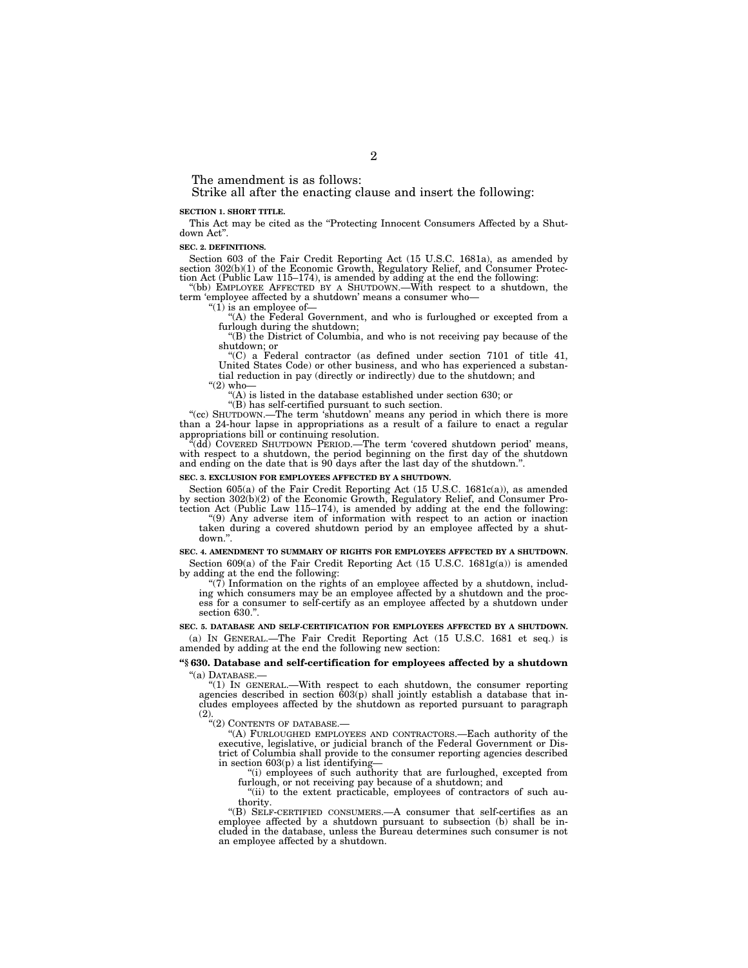The amendment is as follows:

Strike all after the enacting clause and insert the following:

#### **SECTION 1. SHORT TITLE.**

This Act may be cited as the "Protecting Innocent Consumers Affected by a Shutdown Act''.

#### **SEC. 2. DEFINITIONS.**

Section 603 of the Fair Credit Reporting Act (15 U.S.C. 1681a), as amended by section 302(b)(1) of the Economic Growth, Regulatory Relief, and Consumer Protec-

tion Act (Public Law 115–174), is amended by adding at the end the following: ''(bb) EMPLOYEE AFFECTED BY A SHUTDOWN.—With respect to a shutdown, the term 'employee affected by a shutdown' means a consumer who—

" $(1)$  is an employee of-

"(A) the Federal Government, and who is furloughed or excepted from a furlough during the shutdown;

''(B) the District of Columbia, and who is not receiving pay because of the shutdown; or

''(C) a Federal contractor (as defined under section 7101 of title 41, United States Code) or other business, and who has experienced a substantial reduction in pay (directly or indirectly) due to the shutdown; and

" $(2)$  who-

''(A) is listed in the database established under section 630; or

''(B) has self-certified pursuant to such section.

"(cc) SHUTDOWN.—The term 'shutdown' means any period in which there is more than a 24-hour lapse in appropriations as a result of a failure to enact a regular appropriations bill or continuing resolution.

''(dd) COVERED SHUTDOWN PERIOD.—The term 'covered shutdown period' means, with respect to a shutdown, the period beginning on the first day of the shutdown and ending on the date that is 90 days after the last day of the shutdown."

#### **SEC. 3. EXCLUSION FOR EMPLOYEES AFFECTED BY A SHUTDOWN.**

Section 605(a) of the Fair Credit Reporting Act (15 U.S.C. 1681c(a)), as amended by section 302(b)(2) of the Economic Growth, Regulatory Relief, and Consumer Protection Act (Public Law 115–174), is amended by adding at the end the following:

''(9) Any adverse item of information with respect to an action or inaction taken during a covered shutdown period by an employee affected by a shutdown.''.

#### **SEC. 4. AMENDMENT TO SUMMARY OF RIGHTS FOR EMPLOYEES AFFECTED BY A SHUTDOWN.**

Section 609(a) of the Fair Credit Reporting Act (15 U.S.C. 1681g(a)) is amended by adding at the end the following:

" $(7)$  Information on the rights of an employee affected by a shutdown, including which consumers may be an employee affected by a shutdown and the process for a consumer to self-certify as an employee affected by a shutdown under section 630.".

**SEC. 5. DATABASE AND SELF-CERTIFICATION FOR EMPLOYEES AFFECTED BY A SHUTDOWN.**  (a) IN GENERAL.—The Fair Credit Reporting Act (15 U.S.C. 1681 et seq.) is

# amended by adding at the end the following new section: **''§ 630. Database and self-certification for employees affected by a shutdown**

"(a) DATABASE.

''(1) IN GENERAL.—With respect to each shutdown, the consumer reporting agencies described in section 603(p) shall jointly establish a database that includes employees affected by the shutdown as reported pursuant to paragraph (2).

''(2) CONTENTS OF DATABASE.—

''(A) FURLOUGHED EMPLOYEES AND CONTRACTORS.—Each authority of the executive, legislative, or judicial branch of the Federal Government or District of Columbia shall provide to the consumer reporting agencies described in section 603(p) a list identifying—

"(i) employees of such authority that are furloughed, excepted from furlough, or not receiving pay because of a shutdown; and

''(ii) to the extent practicable, employees of contractors of such authority.

''(B) SELF-CERTIFIED CONSUMERS.—A consumer that self-certifies as an employee affected by a shutdown pursuant to subsection (b) shall be included in the database, unless the Bureau determines such consumer is not an employee affected by a shutdown.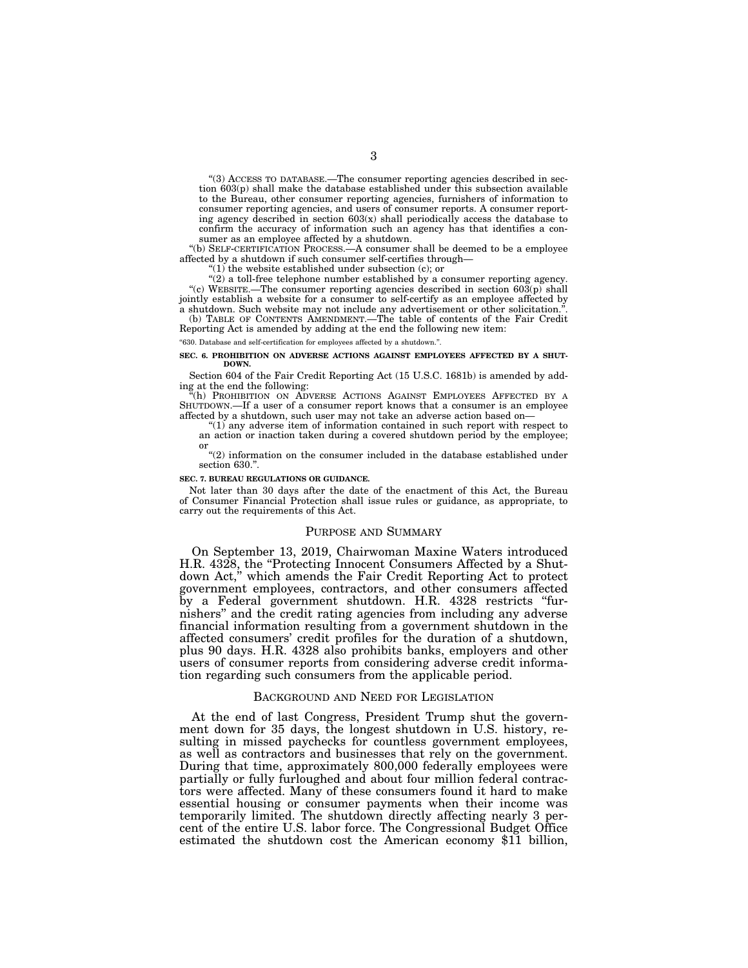''(3) ACCESS TO DATABASE.—The consumer reporting agencies described in section 603(p) shall make the database established under this subsection available to the Bureau, other consumer reporting agencies, furnishers of information to consumer reporting agencies, and users of consumer reports. A consumer reporting agency described in section  $603(x)$  shall periodically access the database to confirm the accuracy of information such an agency has that identifies a consumer as an employee affected by a shutdown.

''(b) SELF-CERTIFICATION PROCESS.—A consumer shall be deemed to be a employee affected by a shutdown if such consumer self-certifies through—

" $(1)$  the website established under subsection  $(c)$ ; or

 $(2)$  a toll-free telephone number established by a consumer reporting agency. "(c) WEBSITE.—The consumer reporting agencies described in section  $603(p)$  shall jointly establish a website for a consumer to self-certify as an employee affected by a shutdown. Such website may not include any advertisement or other solicitation.

(b) TABLE OF CONTENTS AMENDMENT.—The table of contents of the Fair Credit Reporting Act is amended by adding at the end the following new item:

''630. Database and self-certification for employees affected by a shutdown.''.

#### **SEC. 6. PROHIBITION ON ADVERSE ACTIONS AGAINST EMPLOYEES AFFECTED BY A SHUT-DOWN.**

Section 604 of the Fair Credit Reporting Act (15 U.S.C. 1681b) is amended by adding at the end the following:

''(h) PROHIBITION ON ADVERSE ACTIONS AGAINST EMPLOYEES AFFECTED BY A SHUTDOWN.—If a user of a consumer report knows that a consumer is an employee affected by a shutdown, such user may not take an adverse action based on—

''(1) any adverse item of information contained in such report with respect to

an action or inaction taken during a covered shutdown period by the employee; or

''(2) information on the consumer included in the database established under section 630.''.

#### **SEC. 7. BUREAU REGULATIONS OR GUIDANCE.**

Not later than 30 days after the date of the enactment of this Act, the Bureau of Consumer Financial Protection shall issue rules or guidance, as appropriate, to carry out the requirements of this Act.

#### PURPOSE AND SUMMARY

On September 13, 2019, Chairwoman Maxine Waters introduced H.R. 4328, the "Protecting Innocent Consumers Affected by a Shutdown Act,'' which amends the Fair Credit Reporting Act to protect government employees, contractors, and other consumers affected by a Federal government shutdown. H.R. 4328 restricts ''furnishers'' and the credit rating agencies from including any adverse financial information resulting from a government shutdown in the affected consumers' credit profiles for the duration of a shutdown, plus 90 days. H.R. 4328 also prohibits banks, employers and other users of consumer reports from considering adverse credit information regarding such consumers from the applicable period.

#### BACKGROUND AND NEED FOR LEGISLATION

At the end of last Congress, President Trump shut the government down for 35 days, the longest shutdown in U.S. history, resulting in missed paychecks for countless government employees, as well as contractors and businesses that rely on the government. During that time, approximately 800,000 federally employees were partially or fully furloughed and about four million federal contractors were affected. Many of these consumers found it hard to make essential housing or consumer payments when their income was temporarily limited. The shutdown directly affecting nearly 3 percent of the entire U.S. labor force. The Congressional Budget Office estimated the shutdown cost the American economy \$11 billion,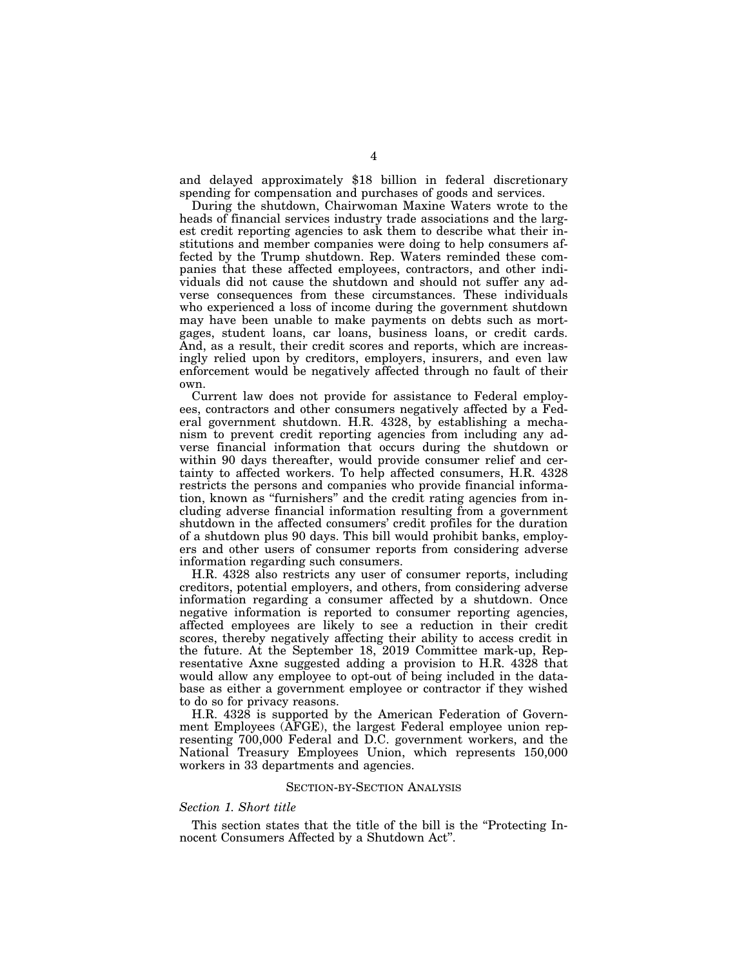and delayed approximately \$18 billion in federal discretionary spending for compensation and purchases of goods and services.

During the shutdown, Chairwoman Maxine Waters wrote to the heads of financial services industry trade associations and the largest credit reporting agencies to ask them to describe what their institutions and member companies were doing to help consumers affected by the Trump shutdown. Rep. Waters reminded these companies that these affected employees, contractors, and other individuals did not cause the shutdown and should not suffer any adverse consequences from these circumstances. These individuals who experienced a loss of income during the government shutdown may have been unable to make payments on debts such as mortgages, student loans, car loans, business loans, or credit cards. And, as a result, their credit scores and reports, which are increasingly relied upon by creditors, employers, insurers, and even law enforcement would be negatively affected through no fault of their own.

Current law does not provide for assistance to Federal employees, contractors and other consumers negatively affected by a Federal government shutdown. H.R. 4328, by establishing a mechanism to prevent credit reporting agencies from including any adverse financial information that occurs during the shutdown or within 90 days thereafter, would provide consumer relief and certainty to affected workers. To help affected consumers, H.R. 4328 restricts the persons and companies who provide financial information, known as "furnishers" and the credit rating agencies from including adverse financial information resulting from a government shutdown in the affected consumers' credit profiles for the duration of a shutdown plus 90 days. This bill would prohibit banks, employers and other users of consumer reports from considering adverse information regarding such consumers.

H.R. 4328 also restricts any user of consumer reports, including creditors, potential employers, and others, from considering adverse information regarding a consumer affected by a shutdown. Once negative information is reported to consumer reporting agencies, affected employees are likely to see a reduction in their credit scores, thereby negatively affecting their ability to access credit in the future. At the September 18, 2019 Committee mark-up, Representative Axne suggested adding a provision to H.R. 4328 that would allow any employee to opt-out of being included in the database as either a government employee or contractor if they wished to do so for privacy reasons.

H.R. 4328 is supported by the American Federation of Government Employees (AFGE), the largest Federal employee union representing 700,000 Federal and D.C. government workers, and the National Treasury Employees Union, which represents 150,000 workers in 33 departments and agencies.

#### SECTION-BY-SECTION ANALYSIS

#### *Section 1. Short title*

This section states that the title of the bill is the ''Protecting Innocent Consumers Affected by a Shutdown Act''.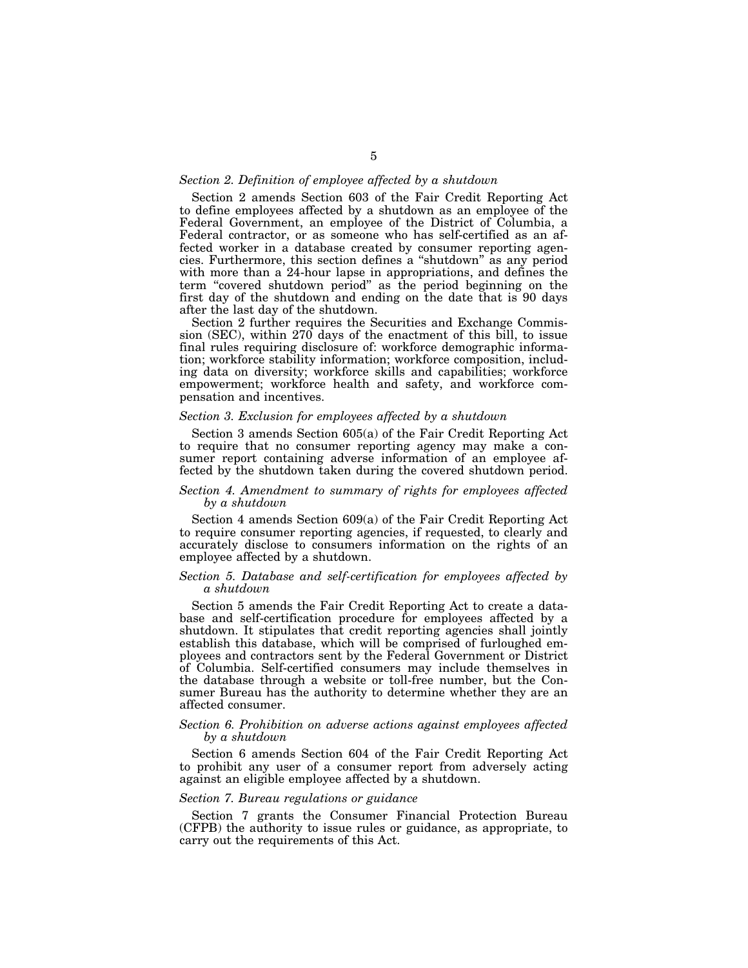# *Section 2. Definition of employee affected by a shutdown*

Section 2 amends Section 603 of the Fair Credit Reporting Act to define employees affected by a shutdown as an employee of the Federal Government, an employee of the District of Columbia, a Federal contractor, or as someone who has self-certified as an affected worker in a database created by consumer reporting agencies. Furthermore, this section defines a ''shutdown'' as any period with more than a 24-hour lapse in appropriations, and defines the term ''covered shutdown period'' as the period beginning on the first day of the shutdown and ending on the date that is 90 days after the last day of the shutdown.

Section 2 further requires the Securities and Exchange Commission (SEC), within 270 days of the enactment of this bill, to issue final rules requiring disclosure of: workforce demographic information; workforce stability information; workforce composition, including data on diversity; workforce skills and capabilities; workforce empowerment; workforce health and safety, and workforce compensation and incentives.

# *Section 3. Exclusion for employees affected by a shutdown*

Section 3 amends Section 605(a) of the Fair Credit Reporting Act to require that no consumer reporting agency may make a consumer report containing adverse information of an employee affected by the shutdown taken during the covered shutdown period.

## *Section 4. Amendment to summary of rights for employees affected by a shutdown*

Section 4 amends Section 609(a) of the Fair Credit Reporting Act to require consumer reporting agencies, if requested, to clearly and accurately disclose to consumers information on the rights of an employee affected by a shutdown.

## *Section 5. Database and self-certification for employees affected by a shutdown*

Section 5 amends the Fair Credit Reporting Act to create a database and self-certification procedure for employees affected by a shutdown. It stipulates that credit reporting agencies shall jointly establish this database, which will be comprised of furloughed employees and contractors sent by the Federal Government or District of Columbia. Self-certified consumers may include themselves in the database through a website or toll-free number, but the Consumer Bureau has the authority to determine whether they are an affected consumer.

## *Section 6. Prohibition on adverse actions against employees affected by a shutdown*

Section 6 amends Section 604 of the Fair Credit Reporting Act to prohibit any user of a consumer report from adversely acting against an eligible employee affected by a shutdown.

## *Section 7. Bureau regulations or guidance*

Section 7 grants the Consumer Financial Protection Bureau (CFPB) the authority to issue rules or guidance, as appropriate, to carry out the requirements of this Act.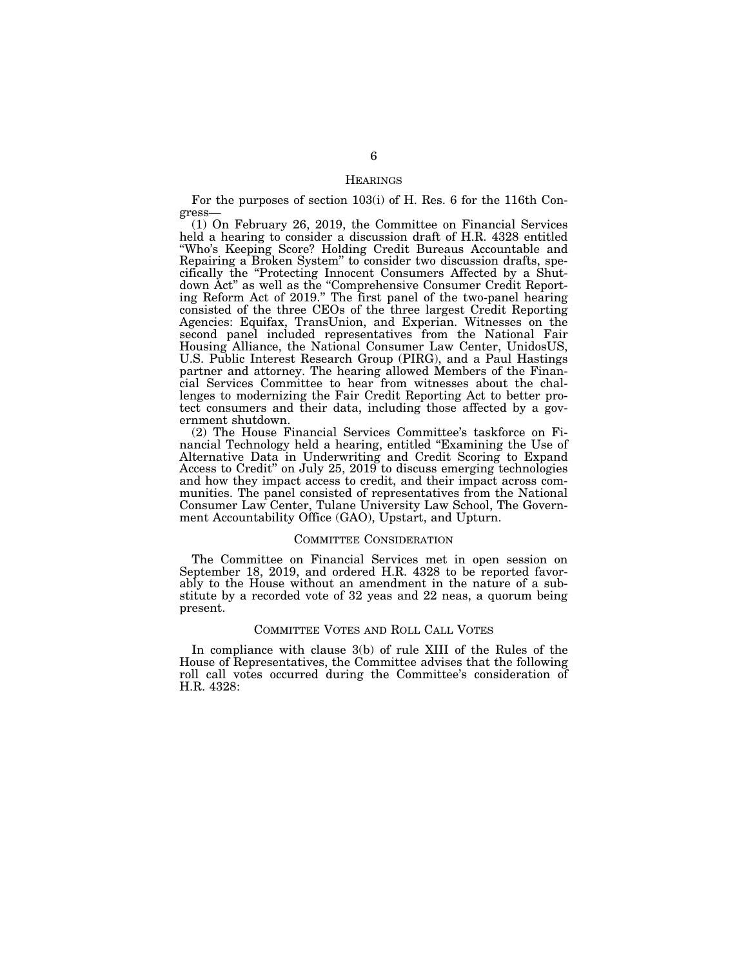# **HEARINGS**

For the purposes of section 103(i) of H. Res. 6 for the 116th Congress—

(1) On February 26, 2019, the Committee on Financial Services held a hearing to consider a discussion draft of H.R. 4328 entitled ''Who's Keeping Score? Holding Credit Bureaus Accountable and Repairing a Broken System'' to consider two discussion drafts, specifically the ''Protecting Innocent Consumers Affected by a Shutdown Act'' as well as the ''Comprehensive Consumer Credit Reporting Reform Act of 2019.'' The first panel of the two-panel hearing consisted of the three CEOs of the three largest Credit Reporting Agencies: Equifax, TransUnion, and Experian. Witnesses on the second panel included representatives from the National Fair Housing Alliance, the National Consumer Law Center, UnidosUS, U.S. Public Interest Research Group (PIRG), and a Paul Hastings partner and attorney. The hearing allowed Members of the Financial Services Committee to hear from witnesses about the challenges to modernizing the Fair Credit Reporting Act to better protect consumers and their data, including those affected by a government shutdown.

(2) The House Financial Services Committee's taskforce on Financial Technology held a hearing, entitled "Examining the Use of Alternative Data in Underwriting and Credit Scoring to Expand Access to Credit'' on July 25, 2019 to discuss emerging technologies and how they impact access to credit, and their impact across communities. The panel consisted of representatives from the National Consumer Law Center, Tulane University Law School, The Government Accountability Office (GAO), Upstart, and Upturn.

#### COMMITTEE CONSIDERATION

The Committee on Financial Services met in open session on September 18, 2019, and ordered H.R. 4328 to be reported favorably to the House without an amendment in the nature of a substitute by a recorded vote of 32 yeas and 22 neas, a quorum being present.

#### COMMITTEE VOTES AND ROLL CALL VOTES

In compliance with clause 3(b) of rule XIII of the Rules of the House of Representatives, the Committee advises that the following roll call votes occurred during the Committee's consideration of H.R. 4328: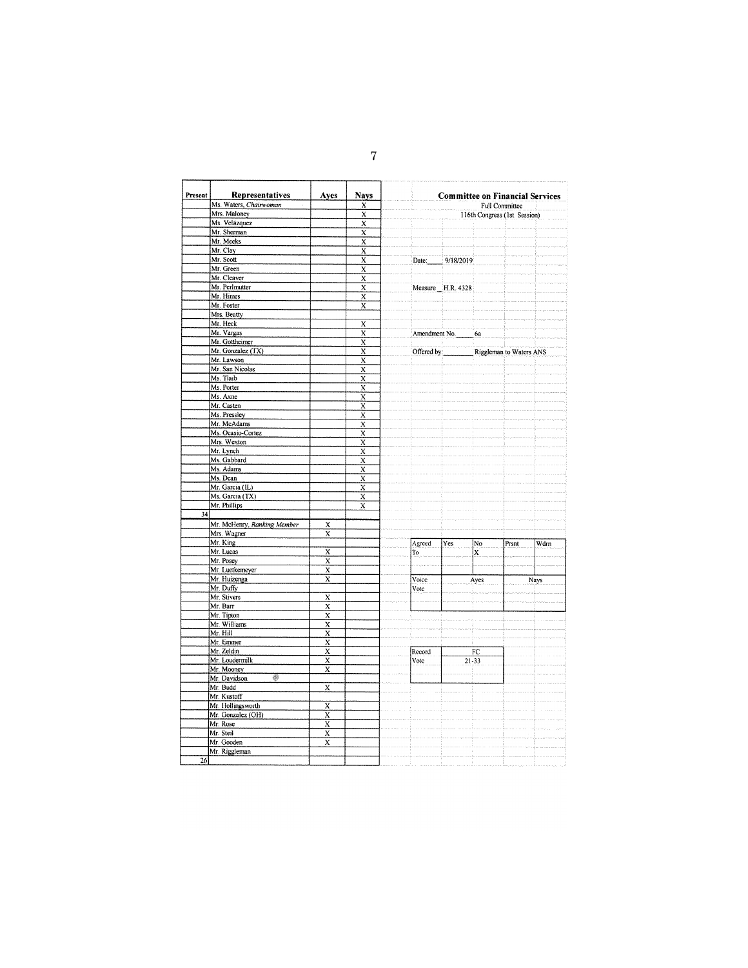| Present | Representatives<br>Ms. Waters, Chairwoman | Ayes                    | <b>Nays</b><br>X        |               | <b>Committee on Financial Services</b> | <b>Full Committee</b>        |                         |      |
|---------|-------------------------------------------|-------------------------|-------------------------|---------------|----------------------------------------|------------------------------|-------------------------|------|
|         | Mrs. Maloney                              |                         | X                       |               |                                        |                              |                         |      |
|         | Ms. Velázquez                             |                         | X                       |               |                                        | 116th Congress (1st Session) |                         |      |
|         | Mr. Sherman                               |                         | $\overline{\mathbf{x}}$ |               |                                        |                              |                         |      |
|         | Mr. Meeks                                 |                         | X                       |               |                                        |                              |                         |      |
|         | Mr. Clay                                  |                         | X                       |               |                                        |                              |                         |      |
|         | Mr. Scott                                 |                         | X                       |               | 9/18/2019                              |                              |                         |      |
|         | Mr. Green                                 |                         |                         | Date:         |                                        |                              |                         |      |
|         | Mr. Cleaver                               |                         | X                       |               |                                        |                              |                         |      |
|         | Mr. Perlmutter                            |                         | X                       |               |                                        |                              |                         |      |
|         |                                           |                         | X                       |               | Measure H.R. 4328                      |                              |                         |      |
|         | Mr. Himes                                 |                         | x                       |               |                                        |                              |                         |      |
|         | Mr. Foster                                |                         | X                       |               |                                        |                              |                         |      |
|         | Mrs. Beatty                               |                         |                         |               |                                        |                              |                         |      |
|         | Mr. Heck                                  |                         | X                       |               |                                        |                              |                         |      |
|         | Mr. Vargas                                |                         | X                       | Amendment No. |                                        | 6а                           |                         |      |
|         | Mr. Gottheimer                            |                         | X                       |               |                                        |                              |                         |      |
|         | Mr. Gonzalez (TX)                         |                         | X                       | Offered by:   |                                        |                              | Riggleman to Waters ANS |      |
|         | Mr. Lawson                                |                         | X                       |               |                                        |                              |                         |      |
|         | Mr. San Nicolas                           |                         | X                       |               |                                        |                              |                         |      |
|         | Ms. Tlaib                                 |                         | X                       |               |                                        |                              |                         |      |
|         | Ms. Porter                                |                         | X                       |               |                                        |                              |                         |      |
|         | Ms. Axne                                  |                         | X                       |               |                                        |                              |                         |      |
|         | Mr. Casten                                |                         | X                       |               |                                        |                              |                         |      |
|         | Ms. Presslev                              |                         | X                       |               |                                        |                              |                         |      |
|         | Mr. McAdams                               |                         | X                       |               |                                        |                              |                         |      |
|         | Ms. Ocasio-Cortez                         |                         | X                       |               |                                        |                              |                         |      |
|         | Mrs. Wexton                               |                         | $\overline{\mathbf{x}}$ |               |                                        |                              |                         |      |
|         | Mr. Lynch                                 |                         | X                       |               |                                        |                              |                         |      |
|         | Ms. Gabbard                               |                         | X                       |               |                                        |                              |                         |      |
|         | Ms. Adams                                 |                         | $\overline{\mathbf{x}}$ |               |                                        |                              |                         |      |
|         | Ms. Dean                                  |                         | X                       |               |                                        |                              |                         |      |
|         | Mr. Garcia (IL)                           |                         | X                       |               |                                        |                              |                         |      |
|         | Ms. Garcia (TX)                           |                         | $\overline{\mathbf{x}}$ |               |                                        |                              |                         |      |
|         | Mr. Phillips                              |                         | X                       |               |                                        |                              |                         |      |
| 34      |                                           |                         |                         |               |                                        |                              |                         |      |
|         | Mr. McHenry, Ranking Member               |                         |                         |               |                                        |                              |                         |      |
|         |                                           | X<br>X                  |                         |               |                                        |                              |                         |      |
|         | Mrs. Wagner<br>Mr. King                   |                         |                         |               |                                        |                              |                         |      |
|         |                                           |                         |                         | Agreed        | Yes                                    | No                           | Prsnt                   | Wdrn |
|         | Mr. Lucas                                 | X                       |                         | Tо            |                                        | X                            |                         |      |
|         | Mr. Posey                                 | X                       |                         |               |                                        |                              |                         |      |
|         | Mr. Luetkemeyer                           | $\overline{\mathbf{x}}$ |                         |               |                                        |                              |                         |      |
|         | Mr. Huizenga                              | X                       |                         | Voice         |                                        | Ayes                         |                         | Nays |
|         | Mr. Duffy                                 |                         |                         | Vote          |                                        |                              |                         |      |
|         | Mr. Stivers                               | X                       |                         |               |                                        |                              |                         |      |
|         | Mr. Barr                                  | X                       |                         |               |                                        |                              |                         |      |
|         |                                           |                         |                         |               |                                        |                              |                         |      |
|         | Mr. Tipton                                | X                       |                         |               |                                        |                              |                         |      |
|         | Mr. Williams                              | X                       |                         |               |                                        |                              |                         |      |
|         | Mr. Hill                                  | x                       |                         |               |                                        |                              |                         |      |
|         | Mr. Emmer                                 | X                       |                         |               |                                        |                              |                         |      |
|         | Mr. Zeldin                                | X                       |                         | Record        |                                        | FC                           |                         |      |
|         | Mr. Loudermilk                            | X                       |                         | Vote          | 21-33                                  |                              |                         |      |
|         | Mr. Mooney                                | X                       |                         |               |                                        |                              |                         |      |
|         | Mr. Davidson<br>4                         |                         |                         |               |                                        |                              |                         |      |
|         | Mr. Budd                                  | X                       |                         |               |                                        |                              |                         |      |
|         | Mr. Kustoff                               |                         |                         |               |                                        |                              |                         |      |
|         | Mr. Hollingsworth                         | X                       |                         |               |                                        |                              |                         |      |
|         | Mr. Gonzalez (OH)                         | X                       |                         |               |                                        |                              |                         |      |
|         | Mr. Rose                                  | $\overline{\mathbf{x}}$ |                         |               |                                        |                              |                         |      |
|         | Mr. Steil                                 | $\overline{\mathbf{x}}$ |                         |               |                                        |                              |                         |      |
|         | Mr. Gooden                                | X                       |                         |               |                                        |                              |                         |      |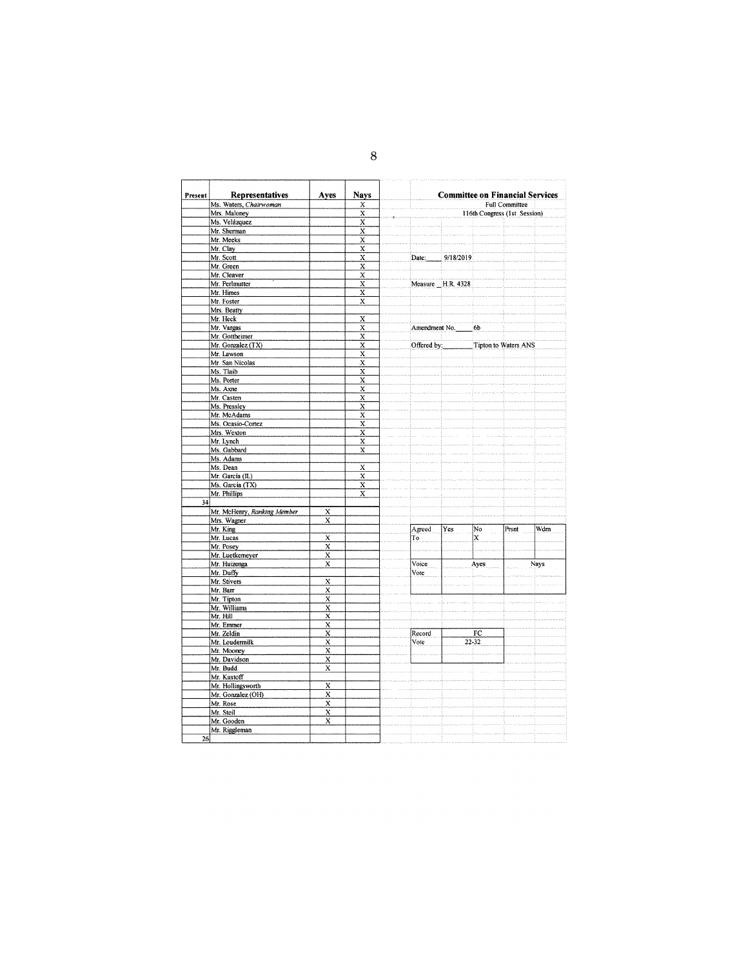| Present | Representatives             | Ayes                    | Nays                    |               | <b>Committee on Financial Services</b> |           |                              |      |
|---------|-----------------------------|-------------------------|-------------------------|---------------|----------------------------------------|-----------|------------------------------|------|
|         | Ms. Waters, Chairwoman      |                         | X                       |               |                                        |           | <b>Full Committee</b>        |      |
|         | Mrs. Malonev                |                         | $\overline{\mathbf{x}}$ |               |                                        |           | 116th Congress (1st Session) |      |
|         | Ms. Velázquez               |                         | X                       |               |                                        |           |                              |      |
|         | Mr. Sherman                 |                         | X                       |               |                                        |           |                              |      |
|         | Mr. Meeks                   |                         | x                       |               |                                        |           |                              |      |
|         | Mr. Clav                    |                         | X                       |               |                                        |           |                              |      |
|         | Mr. Scott                   |                         | X                       | Date:         | 9/18/2019                              |           |                              |      |
|         | Mr. Green                   |                         | X                       |               |                                        |           |                              |      |
|         | Mr. Cleaver                 |                         | X                       |               |                                        |           |                              |      |
|         | Mr. Perlmutter              |                         | X                       |               | Measure H.R. 4328                      |           |                              |      |
|         | Mr. Himes                   |                         | X                       |               |                                        |           |                              |      |
|         | Mr. Foster                  |                         | X                       |               |                                        |           |                              |      |
|         | Mrs. Beatty                 |                         |                         |               |                                        |           |                              |      |
|         | Mr. Heck                    |                         | X                       |               |                                        |           |                              |      |
|         | Mr. Vargas                  |                         | X                       | Amendment No. |                                        | 6b        |                              |      |
|         | Mr. Gottheimer              |                         | X                       |               |                                        |           |                              |      |
|         | Mr. Gonzalez (TX)           |                         | X                       | Offered by:   |                                        |           | Tipton to Waters ANS         |      |
|         | Mr. Lawson                  |                         | x                       |               |                                        |           |                              |      |
|         | Mr. San Nicolas             |                         | X                       |               |                                        |           |                              |      |
|         | Ms. Tlaib                   |                         | X                       |               |                                        |           |                              |      |
|         | Ms. Porter                  |                         | X                       |               |                                        |           |                              |      |
|         | Ms. Axne                    |                         | X                       |               |                                        |           |                              |      |
|         | Mr. Casten                  |                         | X                       |               |                                        |           |                              |      |
|         | Ms. Pressley                |                         | Χ                       |               |                                        |           |                              |      |
|         | Mr. McAdams                 |                         | X                       |               |                                        |           |                              |      |
|         | Ms. Ocasio-Cortez           |                         | X                       |               |                                        |           |                              |      |
|         | Mrs. Wexton                 |                         |                         |               |                                        |           |                              |      |
|         |                             |                         | X<br>X                  |               |                                        |           |                              |      |
|         | Mr. Lynch                   |                         |                         |               |                                        |           |                              |      |
|         | Ms. Gabbard                 |                         | X                       |               |                                        |           |                              |      |
|         | Ms. Adams                   |                         |                         |               |                                        |           |                              |      |
|         | Ms. Dean                    |                         | X                       |               |                                        |           |                              |      |
|         | Mr. Garcia (IL)             |                         | X                       |               |                                        |           |                              |      |
|         | Ms. Garcia (TX)             |                         | X                       |               |                                        |           |                              |      |
|         | Mr. Phillips                |                         | X                       |               |                                        |           |                              |      |
| 34      |                             |                         |                         |               |                                        |           |                              |      |
|         | Mr. McHenry, Ranking Member | x                       |                         |               |                                        |           |                              |      |
|         | Mrs. Wagner                 | $\overline{\mathbf{x}}$ |                         |               |                                        |           |                              |      |
|         | Mr. King                    |                         |                         | Agreed        | Yes                                    | No        | Prsnt                        | Wdrn |
|         | Mr. Lucas                   | X                       |                         | To            |                                        | X         |                              |      |
|         | Mr. Posey                   | X                       |                         |               |                                        |           |                              |      |
|         | Mr. Luetkemeyer             | X                       |                         |               |                                        |           |                              |      |
|         | Mr. Huizenga                | X                       |                         | Voice         |                                        | Ayes      |                              | Nays |
|         | Mr. Duffy                   |                         |                         | Vote          |                                        |           |                              |      |
|         | Mr. Stivers                 | X                       |                         |               |                                        |           |                              |      |
|         | Mr. Barr                    | X                       |                         |               |                                        |           |                              |      |
|         | Mr. Tipton                  | X                       |                         |               |                                        |           |                              |      |
|         | Mr. Williams                | X                       |                         |               |                                        |           |                              |      |
|         | Mr. Hill                    | X                       |                         |               |                                        |           |                              |      |
|         | Mr. Emmer                   | x                       |                         |               |                                        |           |                              |      |
|         | Mr. Zeldin                  | X                       |                         | Record        |                                        | FC        |                              |      |
|         | Mr. Loudermilk              | X                       |                         | Vote          |                                        | $22 - 32$ |                              |      |
|         | Mr. Mooney                  | X                       |                         |               |                                        |           |                              |      |
|         | Mr. Davidson                | X                       |                         |               |                                        |           |                              |      |
|         | Mr. Budd                    | X                       |                         |               |                                        |           |                              |      |
|         | Mr. Kustoff                 |                         |                         |               |                                        |           |                              |      |
|         | Mr. Hollingsworth           | X                       |                         |               |                                        |           |                              |      |
|         | Mr. Gonzalez (OH)           | X                       |                         |               |                                        |           |                              |      |
|         | Mr. Rose                    | X                       |                         |               |                                        |           |                              |      |
|         | Mr. Steil                   | X                       |                         |               |                                        |           |                              |      |
|         | Mr. Gooden                  | X                       |                         |               |                                        |           |                              |      |
|         |                             |                         |                         |               |                                        |           |                              |      |
| 26      | Mr. Riggleman               |                         |                         |               |                                        |           |                              |      |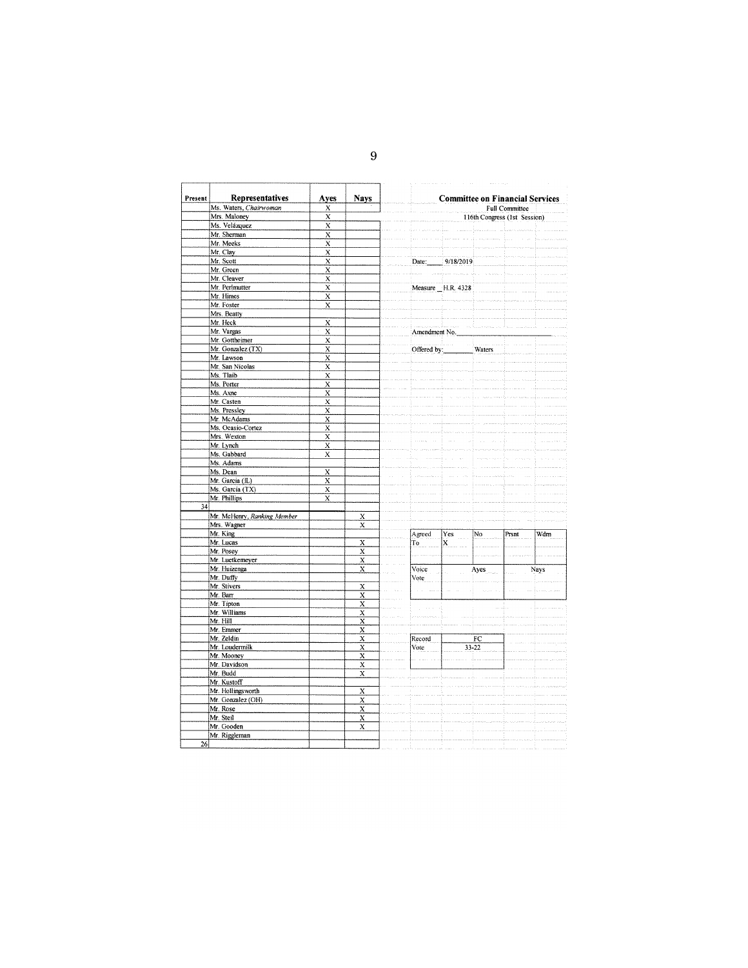| Present | Representatives<br>Ms. Waters, Chairwoman | Ayes<br>X | <b>Nays</b> | <b>Committee on Financial Services</b><br><b>Full Committee</b> |                   |        |                              |      |
|---------|-------------------------------------------|-----------|-------------|-----------------------------------------------------------------|-------------------|--------|------------------------------|------|
|         | Mrs. Maloney                              | X         |             |                                                                 |                   |        | 116th Congress (1st Session) |      |
|         | Ms. Velázquez                             | X         |             |                                                                 |                   |        |                              |      |
|         | Mr. Sherman                               | X         |             |                                                                 |                   |        |                              |      |
|         | Mr. Meeks                                 | X         |             |                                                                 |                   |        |                              |      |
|         | Mr. Clav                                  | X         |             |                                                                 |                   |        |                              |      |
|         | Mr. Scott                                 | X         |             | Date:                                                           | 9/18/2019         |        |                              |      |
|         | Mr. Green                                 |           |             |                                                                 |                   |        |                              |      |
|         | Mr. Cleaver                               | X<br>X    |             |                                                                 |                   |        |                              |      |
|         | Mr. Perimutter                            |           |             |                                                                 |                   |        |                              |      |
|         |                                           | X         |             |                                                                 | Measure H.R. 4328 |        |                              |      |
|         | Mr. Himes                                 | X         |             |                                                                 |                   |        |                              |      |
|         | Mr. Foster                                | X         |             |                                                                 |                   |        |                              |      |
|         | Mrs. Beatty                               |           |             |                                                                 |                   |        |                              |      |
|         | Mr. Heck                                  | X         |             |                                                                 |                   |        |                              |      |
|         | Mr. Vargas                                | X         |             | Amendment No.                                                   |                   |        |                              |      |
|         | Mr. Gottheimer                            | X         |             |                                                                 |                   |        |                              |      |
|         | Mr. Gonzalez (TX)                         | X         |             | Offered by:                                                     |                   | Waters |                              |      |
|         | Mr. Lawson                                | X         |             |                                                                 |                   |        |                              |      |
|         | Mr. San Nicolas                           | X         |             |                                                                 |                   |        |                              |      |
|         | Ms. Tlaib                                 | X         |             |                                                                 |                   |        |                              |      |
|         | Ms. Porter                                | X         |             |                                                                 |                   |        |                              |      |
|         | Ms. Axne                                  | X         |             |                                                                 |                   |        |                              |      |
|         | Mr. Casten                                | x         |             |                                                                 |                   |        |                              |      |
|         | Ms. Pressley                              | X         |             |                                                                 |                   |        |                              |      |
|         | Mr. McAdams                               | X         |             |                                                                 |                   |        |                              |      |
|         | Ms. Ocasio-Cortez                         | X         |             |                                                                 |                   |        |                              |      |
|         | Mrs. Wexton                               | X         |             |                                                                 |                   |        |                              |      |
|         | Mr. Lynch                                 | X         |             |                                                                 |                   |        |                              |      |
|         | Ms. Gabbard                               | X         |             |                                                                 |                   |        |                              |      |
|         | Ms. Adams                                 |           |             |                                                                 |                   |        |                              |      |
|         | Ms. Dean                                  | X         |             |                                                                 |                   |        |                              |      |
|         | Mr. Garcia (IL)                           | X         |             |                                                                 |                   |        |                              |      |
|         | Ms. Garcia (TX)                           | X         |             |                                                                 |                   |        |                              |      |
|         | Mr. Phillips                              | X         |             |                                                                 |                   |        |                              |      |
| 34      |                                           |           |             |                                                                 |                   |        |                              |      |
|         | Mr. McHenry, Ranking Member               |           | X           |                                                                 |                   |        |                              |      |
|         | Mrs. Wagner                               |           | X           |                                                                 |                   |        |                              |      |
|         |                                           |           |             |                                                                 |                   |        |                              |      |
|         | Mr. King                                  |           |             | Agreed                                                          | Yes               | No     | Prsnt                        | Wdm  |
|         | Mr. Lucas                                 |           | $\mathbf x$ | To.                                                             | X                 |        |                              |      |
|         | Mr. Posey                                 |           | X           |                                                                 |                   |        |                              |      |
|         | Mr. Luetkemeyer                           |           | X           |                                                                 |                   |        |                              |      |
|         | Mr. Huizenga                              |           | X           | Voice                                                           |                   | Ayes   |                              | Nays |
|         | Mr. Duffy                                 |           |             | Vote                                                            |                   |        |                              |      |
|         | Mr. Stivers                               |           | X           |                                                                 |                   |        |                              |      |
|         | Mr. Barr                                  |           | X           |                                                                 |                   |        |                              |      |
|         | Mr. Tipton                                |           | х           |                                                                 |                   |        |                              |      |
|         | Mr. Williams                              |           | X           |                                                                 |                   |        |                              |      |
|         | Mr. Hill                                  |           | X           |                                                                 |                   |        |                              |      |
|         | Mr. Emmer                                 |           | X           |                                                                 |                   |        |                              |      |
|         | Mr. Zeldin                                |           | X           | Record                                                          |                   | FC     |                              |      |
|         | Mr. Loudermilk                            |           | X           | Vote                                                            |                   | 33-22  |                              |      |
|         | Mr. Mooney                                |           | X           |                                                                 |                   |        |                              |      |
|         | Mr. Davidson                              |           | X           |                                                                 |                   |        |                              |      |
|         | Mr. Budd                                  |           | X           |                                                                 |                   |        |                              |      |
|         | Mr. Kustoff                               |           |             |                                                                 |                   |        |                              |      |
|         | Mr. Hollingsworth                         |           | X           |                                                                 |                   |        |                              |      |
|         | Mr. Gonzalez (OH)                         |           | X           |                                                                 |                   |        |                              |      |
|         | Mr. Rose                                  |           | X           |                                                                 |                   |        |                              |      |
|         | Mr. Steil                                 |           | X           |                                                                 |                   |        |                              |      |
|         | Mr. Gooden                                |           | X           |                                                                 |                   |        |                              |      |
|         | Mr. Riggleman                             |           |             |                                                                 |                   |        |                              |      |
|         |                                           |           |             |                                                                 |                   |        |                              |      |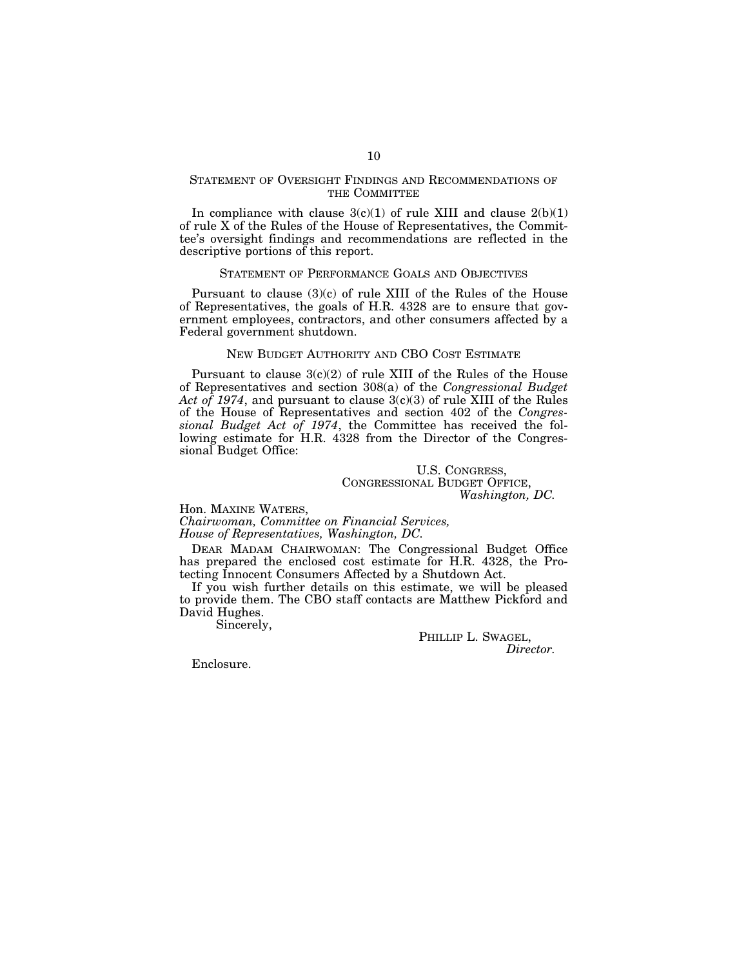## STATEMENT OF OVERSIGHT FINDINGS AND RECOMMENDATIONS OF THE COMMITTEE

In compliance with clause  $3(c)(1)$  of rule XIII and clause  $2(b)(1)$ of rule X of the Rules of the House of Representatives, the Committee's oversight findings and recommendations are reflected in the descriptive portions of this report.

#### STATEMENT OF PERFORMANCE GOALS AND OBJECTIVES

Pursuant to clause  $(3)(c)$  of rule XIII of the Rules of the House of Representatives, the goals of H.R. 4328 are to ensure that government employees, contractors, and other consumers affected by a Federal government shutdown.

### NEW BUDGET AUTHORITY AND CBO COST ESTIMATE

Pursuant to clause  $3(c)(2)$  of rule XIII of the Rules of the House of Representatives and section 308(a) of the *Congressional Budget Act of 1974*, and pursuant to clause 3(c)(3) of rule XIII of the Rules of the House of Representatives and section 402 of the *Congressional Budget Act of 1974*, the Committee has received the following estimate for H.R. 4328 from the Director of the Congressional Budget Office:

#### U.S. CONGRESS, CONGRESSIONAL BUDGET OFFICE, *Washington, DC.*

Hon. MAXINE WATERS,

*Chairwoman, Committee on Financial Services, House of Representatives, Washington, DC.* 

DEAR MADAM CHAIRWOMAN: The Congressional Budget Office has prepared the enclosed cost estimate for H.R. 4328, the Protecting Innocent Consumers Affected by a Shutdown Act.

If you wish further details on this estimate, we will be pleased to provide them. The CBO staff contacts are Matthew Pickford and David Hughes.

Sincerely,

PHILLIP L. SWAGEL, *Director.* 

Enclosure.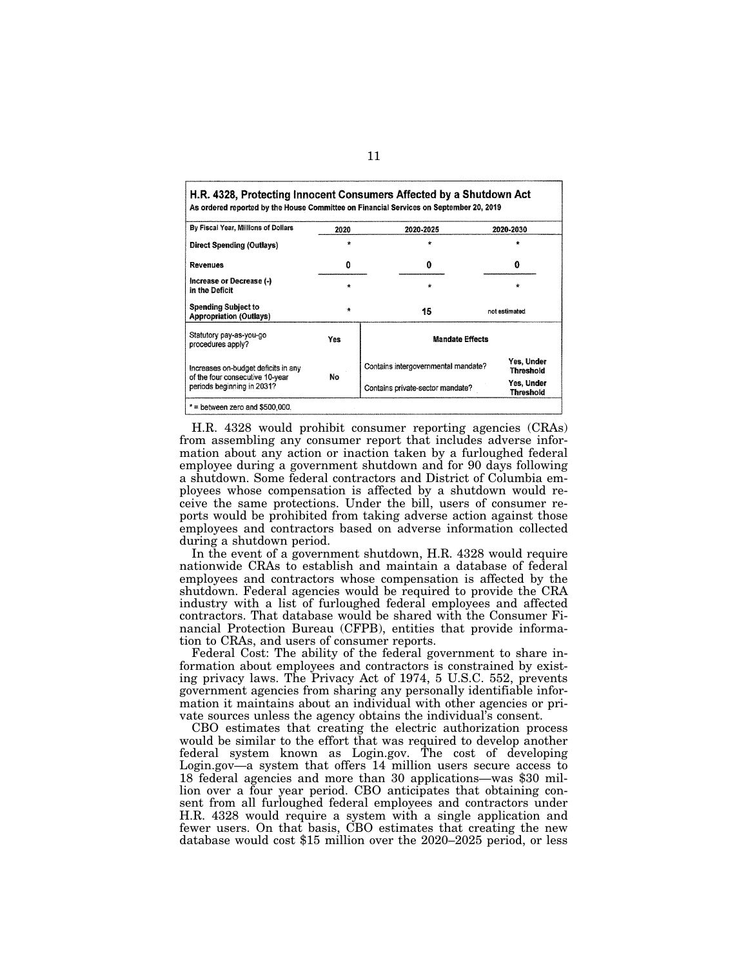| H.R. 4328, Protecting Innocent Consumers Affected by a Shutdown Act<br>As ordered reported by the House Committee on Financial Services on September 20, 2019 |      |                                     |                                |  |  |  |
|---------------------------------------------------------------------------------------------------------------------------------------------------------------|------|-------------------------------------|--------------------------------|--|--|--|
| By Fiscal Year, Millions of Dollars                                                                                                                           | 2020 | 2020-2025                           | 2020-2030                      |  |  |  |
| Direct Spending (Outlavs)                                                                                                                                     | ÷    | ŵ                                   |                                |  |  |  |
| Revenues                                                                                                                                                      | 0    | 0                                   | Ω                              |  |  |  |
| Increase or Decrease (-)<br>in the Deficit                                                                                                                    | ٠    | ŵ                                   | ÷                              |  |  |  |
| <b>Spending Subject to</b><br><b>Appropriation (Outlays)</b>                                                                                                  | ۰    | 15                                  | not estimated                  |  |  |  |
| Statutory pay-as-you-go<br>procedures apply?                                                                                                                  | Yes  | <b>Mandate Effects</b>              |                                |  |  |  |
| Increases on-budget deficits in any<br>of the four consecutive 10-year                                                                                        | No   | Contains intergovernmental mandate? | Yes, Under<br><b>Threshold</b> |  |  |  |
| periods beginning in 2031?                                                                                                                                    |      | Contains private-sector mandate?    | Yes, Under<br>Threshold        |  |  |  |
| $*$ = between zero and \$500,000.                                                                                                                             |      |                                     |                                |  |  |  |

H.R. 4328 would prohibit consumer reporting agencies (CRAs) from assembling any consumer report that includes adverse information about any action or inaction taken by a furloughed federal employee during a government shutdown and for 90 days following a shutdown. Some federal contractors and District of Columbia employees whose compensation is affected by a shutdown would receive the same protections. Under the bill, users of consumer reports would be prohibited from taking adverse action against those employees and contractors based on adverse information collected during a shutdown period.

In the event of a government shutdown, H.R. 4328 would require nationwide CRAs to establish and maintain a database of federal employees and contractors whose compensation is affected by the shutdown. Federal agencies would be required to provide the CRA industry with a list of furloughed federal employees and affected contractors. That database would be shared with the Consumer Financial Protection Bureau (CFPB), entities that provide information to CRAs, and users of consumer reports.

Federal Cost: The ability of the federal government to share information about employees and contractors is constrained by existing privacy laws. The Privacy Act of 1974, 5 U.S.C. 552, prevents government agencies from sharing any personally identifiable information it maintains about an individual with other agencies or private sources unless the agency obtains the individual's consent.

CBO estimates that creating the electric authorization process would be similar to the effort that was required to develop another federal system known as Login.gov. The cost of developing Login.gov—a system that offers 14 million users secure access to 18 federal agencies and more than 30 applications—was \$30 million over a four year period. CBO anticipates that obtaining consent from all furloughed federal employees and contractors under H.R. 4328 would require a system with a single application and fewer users. On that basis, CBO estimates that creating the new database would cost \$15 million over the 2020–2025 period, or less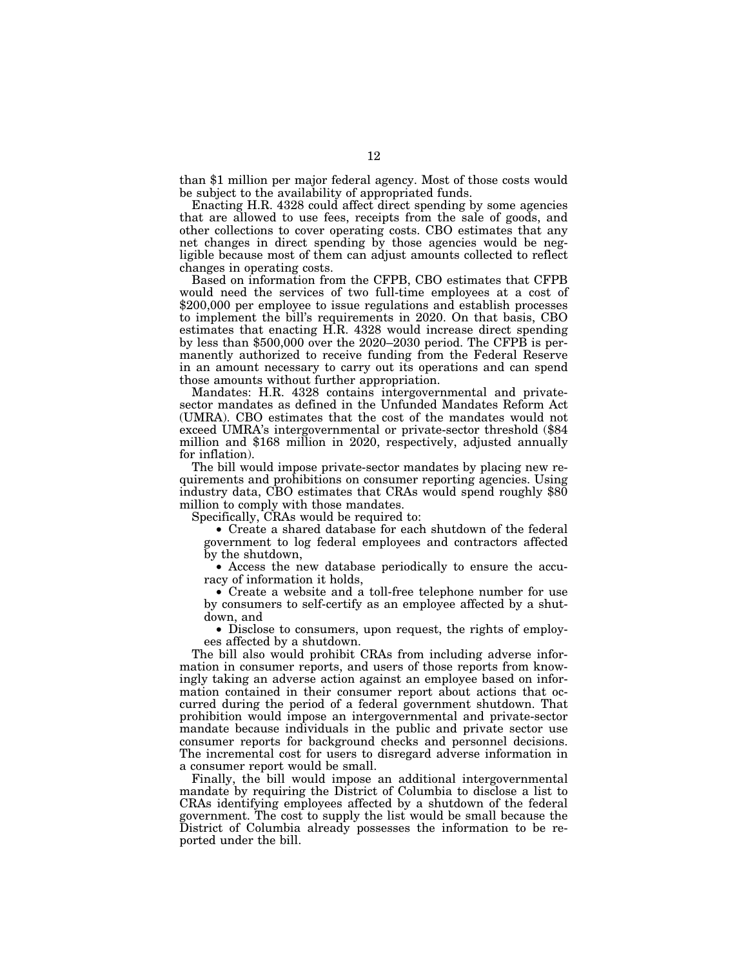than \$1 million per major federal agency. Most of those costs would be subject to the availability of appropriated funds.

Enacting H.R. 4328 could affect direct spending by some agencies that are allowed to use fees, receipts from the sale of goods, and other collections to cover operating costs. CBO estimates that any net changes in direct spending by those agencies would be negligible because most of them can adjust amounts collected to reflect changes in operating costs.

Based on information from the CFPB, CBO estimates that CFPB would need the services of two full-time employees at a cost of \$200,000 per employee to issue regulations and establish processes to implement the bill's requirements in 2020. On that basis, CBO estimates that enacting H.R. 4328 would increase direct spending by less than \$500,000 over the 2020–2030 period. The CFPB is permanently authorized to receive funding from the Federal Reserve in an amount necessary to carry out its operations and can spend those amounts without further appropriation.

Mandates: H.R. 4328 contains intergovernmental and privatesector mandates as defined in the Unfunded Mandates Reform Act (UMRA). CBO estimates that the cost of the mandates would not exceed UMRA's intergovernmental or private-sector threshold (\$84 million and \$168 million in 2020, respectively, adjusted annually for inflation).

The bill would impose private-sector mandates by placing new requirements and prohibitions on consumer reporting agencies. Using industry data, CBO estimates that CRAs would spend roughly \$80 million to comply with those mandates.

Specifically, CRAs would be required to:

• Create a shared database for each shutdown of the federal government to log federal employees and contractors affected by the shutdown,

• Access the new database periodically to ensure the accuracy of information it holds,

• Create a website and a toll-free telephone number for use by consumers to self-certify as an employee affected by a shutdown, and

• Disclose to consumers, upon request, the rights of employees affected by a shutdown.

The bill also would prohibit CRAs from including adverse information in consumer reports, and users of those reports from knowingly taking an adverse action against an employee based on information contained in their consumer report about actions that occurred during the period of a federal government shutdown. That prohibition would impose an intergovernmental and private-sector mandate because individuals in the public and private sector use consumer reports for background checks and personnel decisions. The incremental cost for users to disregard adverse information in a consumer report would be small.

Finally, the bill would impose an additional intergovernmental mandate by requiring the District of Columbia to disclose a list to CRAs identifying employees affected by a shutdown of the federal government. The cost to supply the list would be small because the District of Columbia already possesses the information to be reported under the bill.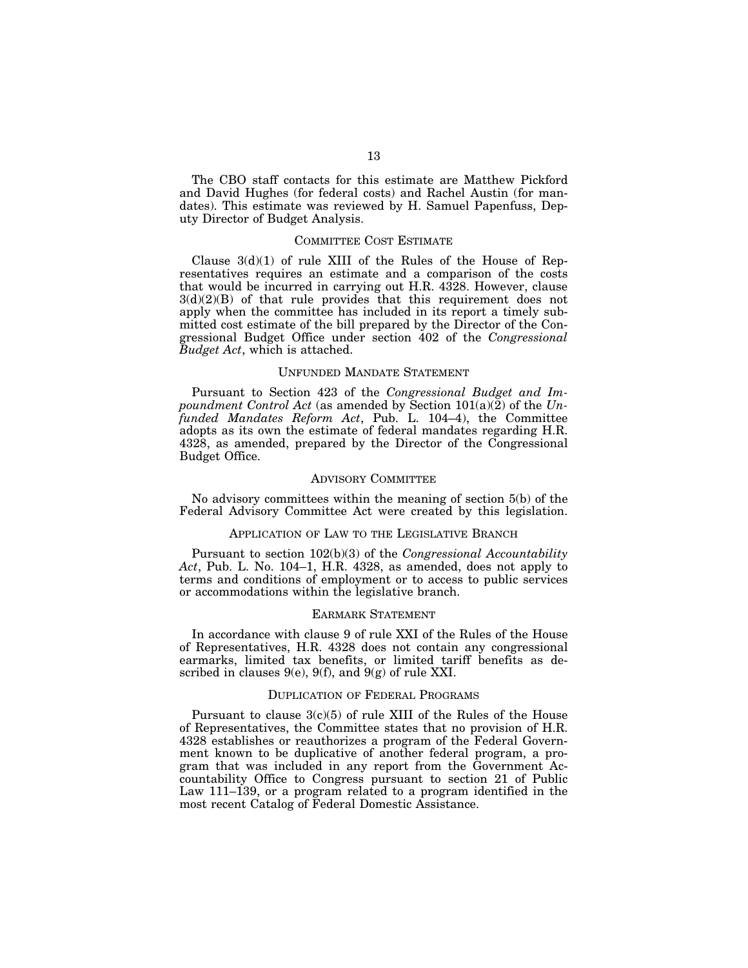The CBO staff contacts for this estimate are Matthew Pickford and David Hughes (for federal costs) and Rachel Austin (for mandates). This estimate was reviewed by H. Samuel Papenfuss, Deputy Director of Budget Analysis.

## COMMITTEE COST ESTIMATE

Clause  $3(d)(1)$  of rule XIII of the Rules of the House of Representatives requires an estimate and a comparison of the costs that would be incurred in carrying out H.R. 4328. However, clause  $3(d)(2)(B)$  of that rule provides that this requirement does not apply when the committee has included in its report a timely submitted cost estimate of the bill prepared by the Director of the Congressional Budget Office under section 402 of the *Congressional Budget Act*, which is attached.

#### UNFUNDED MANDATE STATEMENT

Pursuant to Section 423 of the *Congressional Budget and Impoundment Control Act* (as amended by Section 101(a)(2) of the *Unfunded Mandates Reform Act*, Pub. L. 104–4), the Committee adopts as its own the estimate of federal mandates regarding H.R. 4328, as amended, prepared by the Director of the Congressional Budget Office.

#### ADVISORY COMMITTEE

No advisory committees within the meaning of section 5(b) of the Federal Advisory Committee Act were created by this legislation.

#### APPLICATION OF LAW TO THE LEGISLATIVE BRANCH

Pursuant to section 102(b)(3) of the *Congressional Accountability Act*, Pub. L. No. 104–1, H.R. 4328, as amended, does not apply to terms and conditions of employment or to access to public services or accommodations within the legislative branch.

#### EARMARK STATEMENT

In accordance with clause 9 of rule XXI of the Rules of the House of Representatives, H.R. 4328 does not contain any congressional earmarks, limited tax benefits, or limited tariff benefits as described in clauses  $9(e)$ ,  $9(f)$ , and  $9(g)$  of rule XXI.

#### DUPLICATION OF FEDERAL PROGRAMS

Pursuant to clause  $3(c)(5)$  of rule XIII of the Rules of the House of Representatives, the Committee states that no provision of H.R. 4328 establishes or reauthorizes a program of the Federal Government known to be duplicative of another federal program, a program that was included in any report from the Government Accountability Office to Congress pursuant to section 21 of Public Law 111–139, or a program related to a program identified in the most recent Catalog of Federal Domestic Assistance.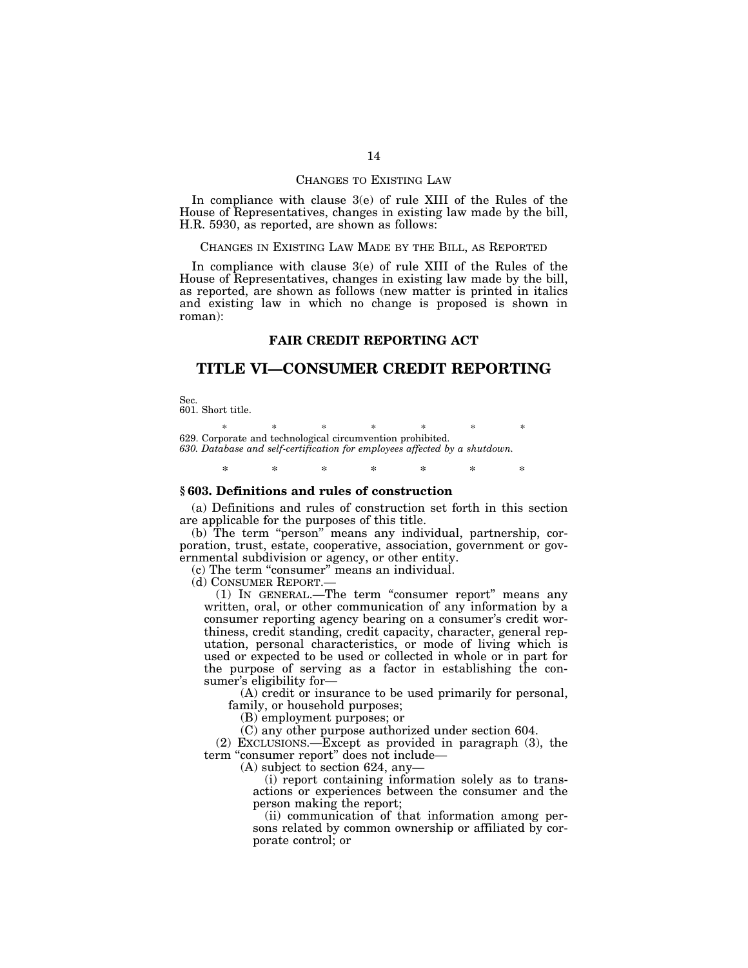#### CHANGES TO EXISTING LAW

In compliance with clause 3(e) of rule XIII of the Rules of the House of Representatives, changes in existing law made by the bill, H.R. 5930, as reported, are shown as follows:

CHANGES IN EXISTING LAW MADE BY THE BILL, AS REPORTED

In compliance with clause 3(e) of rule XIII of the Rules of the House of Representatives, changes in existing law made by the bill, as reported, are shown as follows (new matter is printed in italics and existing law in which no change is proposed is shown in roman):

# **FAIR CREDIT REPORTING ACT**

# **TITLE VI—CONSUMER CREDIT REPORTING**

Sec. 601. Short title.

\* \* \* \* \* \* \* \*

629. Corporate and technological circumvention prohibited. *630. Database and self-certification for employees affected by a shutdown.* 

\* \* \* \* \* \* \*

## **§ 603. Definitions and rules of construction**

(a) Definitions and rules of construction set forth in this section are applicable for the purposes of this title.

(b) The term ''person'' means any individual, partnership, corporation, trust, estate, cooperative, association, government or governmental subdivision or agency, or other entity.

(c) The term ''consumer'' means an individual.

(d) CONSUMER REPORT.—

(1) IN GENERAL.—The term ''consumer report'' means any written, oral, or other communication of any information by a consumer reporting agency bearing on a consumer's credit worthiness, credit standing, credit capacity, character, general reputation, personal characteristics, or mode of living which is used or expected to be used or collected in whole or in part for the purpose of serving as a factor in establishing the consumer's eligibility for—

(A) credit or insurance to be used primarily for personal, family, or household purposes;

(B) employment purposes; or

(C) any other purpose authorized under section 604.

(2) EXCLUSIONS.—Except as provided in paragraph (3), the term "consumer report" does not include-

(A) subject to section 624, any—

(i) report containing information solely as to transactions or experiences between the consumer and the person making the report;

(ii) communication of that information among persons related by common ownership or affiliated by corporate control; or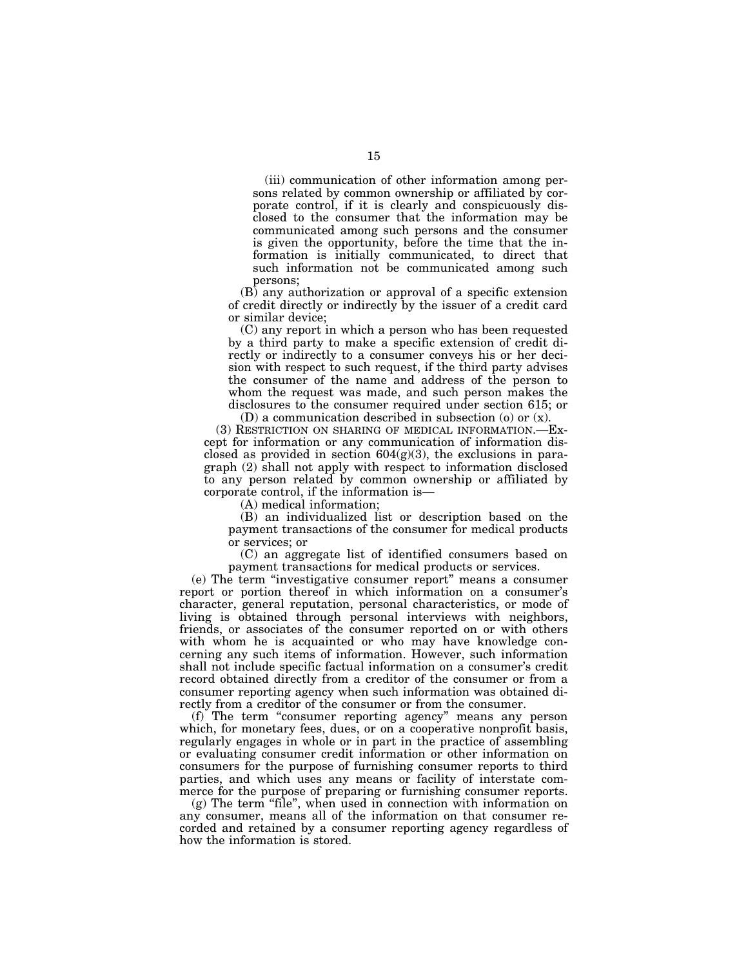(iii) communication of other information among persons related by common ownership or affiliated by corporate control, if it is clearly and conspicuously disclosed to the consumer that the information may be communicated among such persons and the consumer is given the opportunity, before the time that the information is initially communicated, to direct that such information not be communicated among such persons;

(B) any authorization or approval of a specific extension of credit directly or indirectly by the issuer of a credit card or similar device;

(C) any report in which a person who has been requested by a third party to make a specific extension of credit directly or indirectly to a consumer conveys his or her decision with respect to such request, if the third party advises the consumer of the name and address of the person to whom the request was made, and such person makes the disclosures to the consumer required under section 615; or

(D) a communication described in subsection (o) or (x). (3) RESTRICTION ON SHARING OF MEDICAL INFORMATION.—Ex-

cept for information or any communication of information disclosed as provided in section  $604(g)(3)$ , the exclusions in paragraph (2) shall not apply with respect to information disclosed to any person related by common ownership or affiliated by corporate control, if the information is—

(A) medical information;

(B) an individualized list or description based on the payment transactions of the consumer for medical products or services; or

(C) an aggregate list of identified consumers based on payment transactions for medical products or services.

(e) The term ''investigative consumer report'' means a consumer report or portion thereof in which information on a consumer's character, general reputation, personal characteristics, or mode of living is obtained through personal interviews with neighbors, friends, or associates of the consumer reported on or with others with whom he is acquainted or who may have knowledge concerning any such items of information. However, such information shall not include specific factual information on a consumer's credit record obtained directly from a creditor of the consumer or from a consumer reporting agency when such information was obtained directly from a creditor of the consumer or from the consumer.

(f) The term ''consumer reporting agency'' means any person which, for monetary fees, dues, or on a cooperative nonprofit basis, regularly engages in whole or in part in the practice of assembling or evaluating consumer credit information or other information on consumers for the purpose of furnishing consumer reports to third parties, and which uses any means or facility of interstate commerce for the purpose of preparing or furnishing consumer reports.

(g) The term ''file'', when used in connection with information on any consumer, means all of the information on that consumer recorded and retained by a consumer reporting agency regardless of how the information is stored.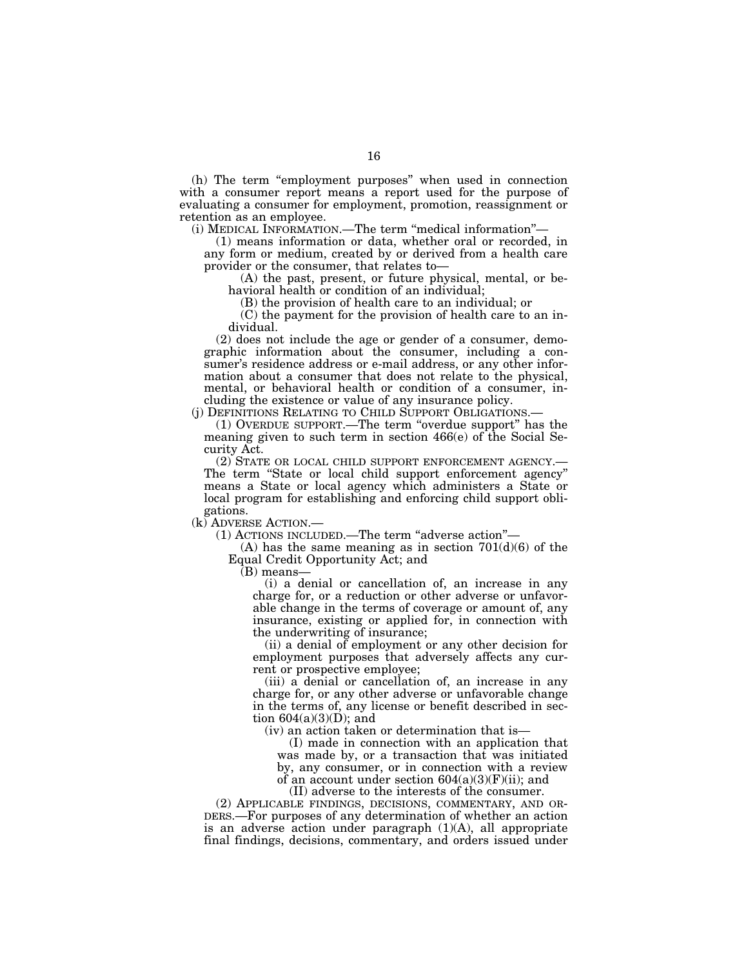(h) The term ''employment purposes'' when used in connection with a consumer report means a report used for the purpose of evaluating a consumer for employment, promotion, reassignment or retention as an employee.

(i) MEDICAL INFORMATION.—The term ''medical information''—

(1) means information or data, whether oral or recorded, in any form or medium, created by or derived from a health care provider or the consumer, that relates to—

(A) the past, present, or future physical, mental, or behavioral health or condition of an individual;

(B) the provision of health care to an individual; or

(C) the payment for the provision of health care to an individual.

(2) does not include the age or gender of a consumer, demographic information about the consumer, including a consumer's residence address or e-mail address, or any other information about a consumer that does not relate to the physical, mental, or behavioral health or condition of a consumer, including the existence or value of any insurance policy.

(j) DEFINITIONS RELATING TO CHILD SUPPORT OBLIGATIONS.—

(1) OVERDUE SUPPORT.—The term ''overdue support'' has the meaning given to such term in section 466(e) of the Social Security Act.

(2) STATE OR LOCAL CHILD SUPPORT ENFORCEMENT AGENCY.— The term ''State or local child support enforcement agency'' means a State or local agency which administers a State or local program for establishing and enforcing child support obligations.

(k) ADVERSE ACTION.—

(1) ACTIONS INCLUDED.—The term ''adverse action''—

(A) has the same meaning as in section  $701(d)(6)$  of the Equal Credit Opportunity Act; and

 $(B)$  means-

(i) a denial or cancellation of, an increase in any charge for, or a reduction or other adverse or unfavorable change in the terms of coverage or amount of, any insurance, existing or applied for, in connection with the underwriting of insurance;

(ii) a denial of employment or any other decision for employment purposes that adversely affects any current or prospective employee;

(iii) a denial or cancellation of, an increase in any charge for, or any other adverse or unfavorable change in the terms of, any license or benefit described in section  $604(a)(3)(D)$ ; and

(iv) an action taken or determination that is—

(I) made in connection with an application that was made by, or a transaction that was initiated by, any consumer, or in connection with a review of an account under section  $604(a)(3)(F)(ii)$ ; and

(II) adverse to the interests of the consumer.

(2) APPLICABLE FINDINGS, DECISIONS, COMMENTARY, AND OR-<br>DERS.—For purposes of any determination of whether an action is an adverse action under paragraph  $(1)(A)$ , all appropriate final findings, decisions, commentary, and orders issued under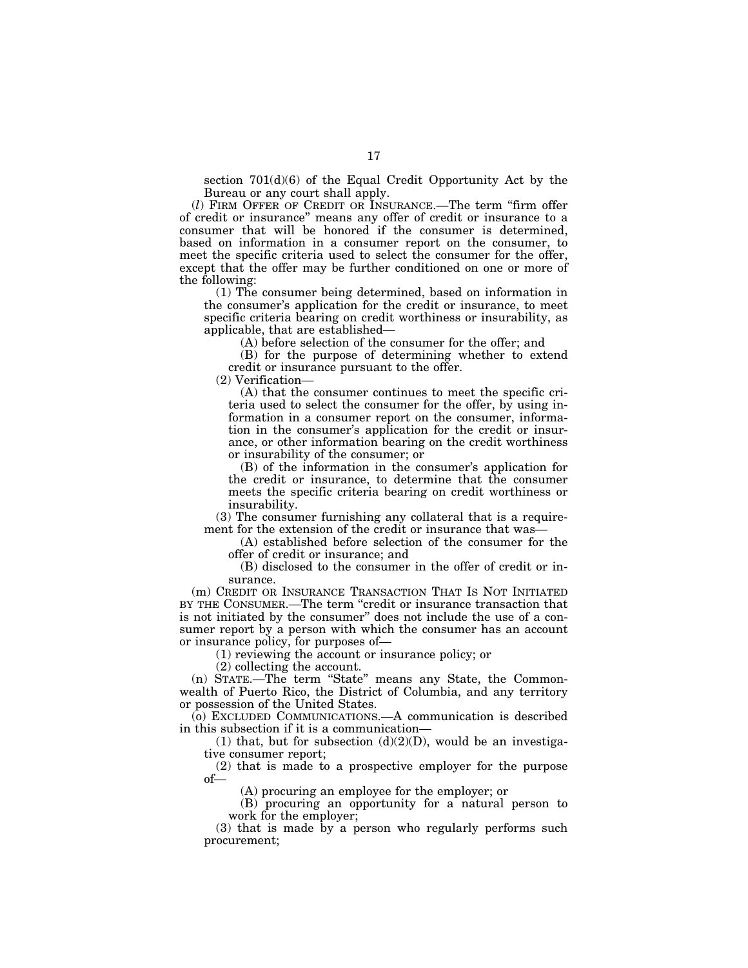section 701(d)(6) of the Equal Credit Opportunity Act by the Bureau or any court shall apply.

(*l*) FIRM OFFER OF CREDIT OR INSURANCE.—The term ''firm offer of credit or insurance'' means any offer of credit or insurance to a consumer that will be honored if the consumer is determined, based on information in a consumer report on the consumer, to meet the specific criteria used to select the consumer for the offer, except that the offer may be further conditioned on one or more of the following:

(1) The consumer being determined, based on information in the consumer's application for the credit or insurance, to meet specific criteria bearing on credit worthiness or insurability, as applicable, that are established—

(A) before selection of the consumer for the offer; and

(B) for the purpose of determining whether to extend credit or insurance pursuant to the offer.

(2) Verification—

(A) that the consumer continues to meet the specific criteria used to select the consumer for the offer, by using information in a consumer report on the consumer, information in the consumer's application for the credit or insurance, or other information bearing on the credit worthiness or insurability of the consumer; or

(B) of the information in the consumer's application for the credit or insurance, to determine that the consumer meets the specific criteria bearing on credit worthiness or insurability.

(3) The consumer furnishing any collateral that is a requirement for the extension of the credit or insurance that was—

(A) established before selection of the consumer for the offer of credit or insurance; and

(B) disclosed to the consumer in the offer of credit or insurance.

(m) CREDIT OR INSURANCE TRANSACTION THAT IS NOT INITIATED BY THE CONSUMER.—The term "credit or insurance transaction that is not initiated by the consumer'' does not include the use of a consumer report by a person with which the consumer has an account or insurance policy, for purposes of—

(1) reviewing the account or insurance policy; or

(2) collecting the account.

(n) STATE.—The term ''State'' means any State, the Commonwealth of Puerto Rico, the District of Columbia, and any territory or possession of the United States.

(o) EXCLUDED COMMUNICATIONS.—A communication is described in this subsection if it is a communication—

(1) that, but for subsection  $(d)(2)(D)$ , would be an investigative consumer report;

(2) that is made to a prospective employer for the purpose of—

(A) procuring an employee for the employer; or

(B) procuring an opportunity for a natural person to work for the employer;

(3) that is made by a person who regularly performs such procurement;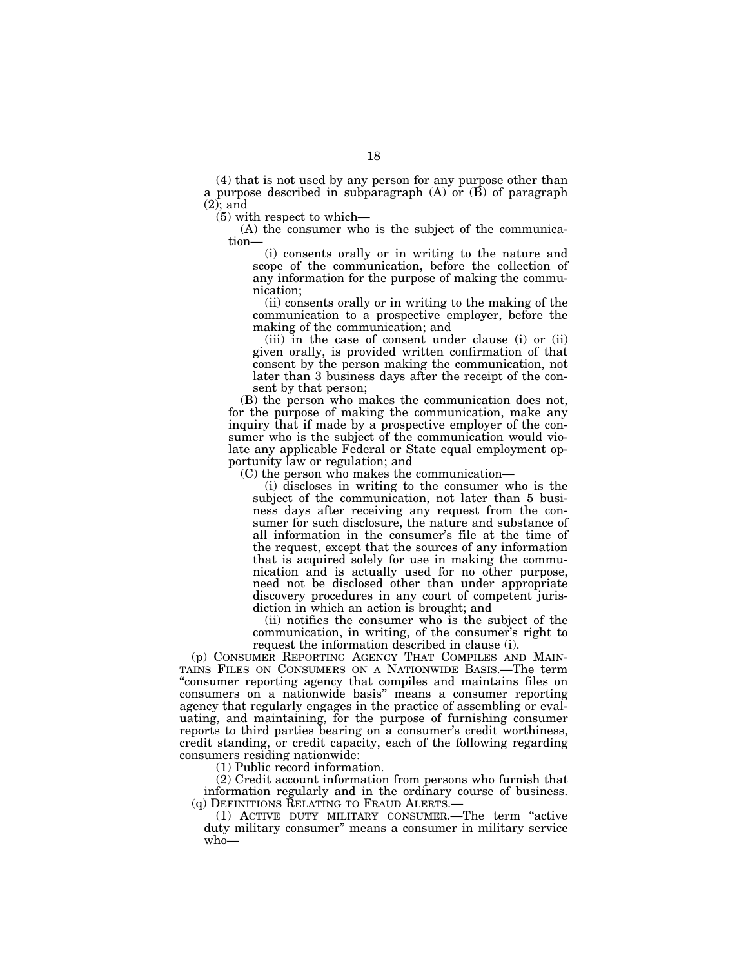(4) that is not used by any person for any purpose other than a purpose described in subparagraph (A) or (B) of paragraph (2); and

(5) with respect to which—

(A) the consumer who is the subject of the communication—

(i) consents orally or in writing to the nature and scope of the communication, before the collection of any information for the purpose of making the communication;

(ii) consents orally or in writing to the making of the communication to a prospective employer, before the making of the communication; and

(iii) in the case of consent under clause (i) or (ii) given orally, is provided written confirmation of that consent by the person making the communication, not later than 3 business days after the receipt of the consent by that person;

(B) the person who makes the communication does not, for the purpose of making the communication, make any inquiry that if made by a prospective employer of the consumer who is the subject of the communication would violate any applicable Federal or State equal employment opportunity law or regulation; and

(C) the person who makes the communication—

(i) discloses in writing to the consumer who is the subject of the communication, not later than 5 business days after receiving any request from the consumer for such disclosure, the nature and substance of all information in the consumer's file at the time of the request, except that the sources of any information that is acquired solely for use in making the communication and is actually used for no other purpose, need not be disclosed other than under appropriate discovery procedures in any court of competent jurisdiction in which an action is brought; and

(ii) notifies the consumer who is the subject of the communication, in writing, of the consumer's right to request the information described in clause (i).

(p) CONSUMER REPORTING AGENCY THAT COMPILES AND MAIN-TAINS FILES ON CONSUMERS ON A NATIONWIDE BASIS.—The term ''consumer reporting agency that compiles and maintains files on consumers on a nationwide basis'' means a consumer reporting agency that regularly engages in the practice of assembling or evaluating, and maintaining, for the purpose of furnishing consumer reports to third parties bearing on a consumer's credit worthiness, credit standing, or credit capacity, each of the following regarding consumers residing nationwide:

(1) Public record information.

(2) Credit account information from persons who furnish that information regularly and in the ordinary course of business.

(q) DEFINITIONS RELATING TO FRAUD ALERTS.— (1) ACTIVE DUTY MILITARY CONSUMER.—The term ''active duty military consumer'' means a consumer in military service who—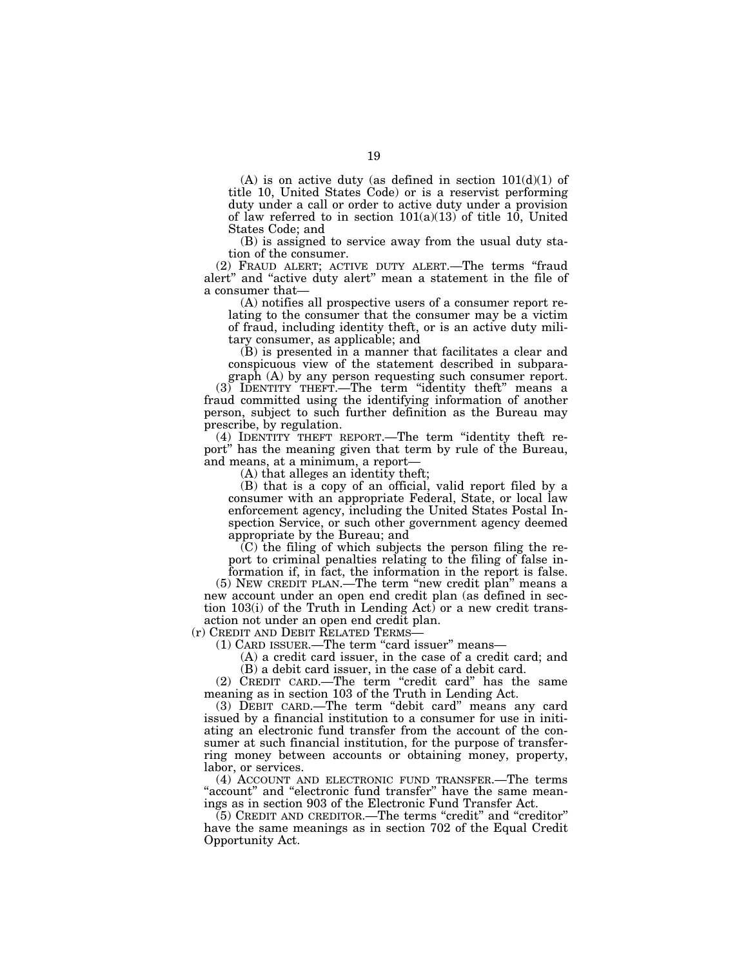(A) is on active duty (as defined in section  $101(d)(1)$  of title 10, United States Code) or is a reservist performing duty under a call or order to active duty under a provision of law referred to in section  $101(a)(13)$  of title 10, United States Code; and

(B) is assigned to service away from the usual duty station of the consumer.

(2) FRAUD ALERT; ACTIVE DUTY ALERT.—The terms ''fraud alert'' and ''active duty alert'' mean a statement in the file of a consumer that—

(A) notifies all prospective users of a consumer report relating to the consumer that the consumer may be a victim of fraud, including identity theft, or is an active duty military consumer, as applicable; and

(B) is presented in a manner that facilitates a clear and conspicuous view of the statement described in subparagraph (A) by any person requesting such consumer report.

(3) IDENTITY THEFT.—The term ''identity theft'' means a fraud committed using the identifying information of another person, subject to such further definition as the Bureau may prescribe, by regulation.

(4) IDENTITY THEFT REPORT.—The term ''identity theft report'' has the meaning given that term by rule of the Bureau, and means, at a minimum, a report—

(A) that alleges an identity theft;

(B) that is a copy of an official, valid report filed by a consumer with an appropriate Federal, State, or local law enforcement agency, including the United States Postal Inspection Service, or such other government agency deemed appropriate by the Bureau; and

 $(C)$  the filing of which subjects the person filing the report to criminal penalties relating to the filing of false in-

formation if, in fact, the information in the report is false. (5) NEW CREDIT PLAN.—The term ''new credit plan'' means a new account under an open end credit plan (as defined in section 103(i) of the Truth in Lending Act) or a new credit transaction not under an open end credit plan.<br>(r) CREDIT AND DEBIT RELATED TERMS—

(r) CREDIT AND DEBIT RELATED TERMS— (1) CARD ISSUER.—The term ''card issuer'' means—

(A) a credit card issuer, in the case of a credit card; and (B) a debit card issuer, in the case of a debit card.

(2) CREDIT CARD.—The term ''credit card'' has the same meaning as in section 103 of the Truth in Lending Act.

(3) DEBIT CARD.—The term ''debit card'' means any card issued by a financial institution to a consumer for use in initiating an electronic fund transfer from the account of the consumer at such financial institution, for the purpose of transferring money between accounts or obtaining money, property, labor, or services.

(4) ACCOUNT AND ELECTRONIC FUND TRANSFER.—The terms "account" and "electronic fund transfer" have the same meanings as in section 903 of the Electronic Fund Transfer Act.

(5) CREDIT AND CREDITOR.—The terms ''credit'' and ''creditor'' have the same meanings as in section 702 of the Equal Credit Opportunity Act.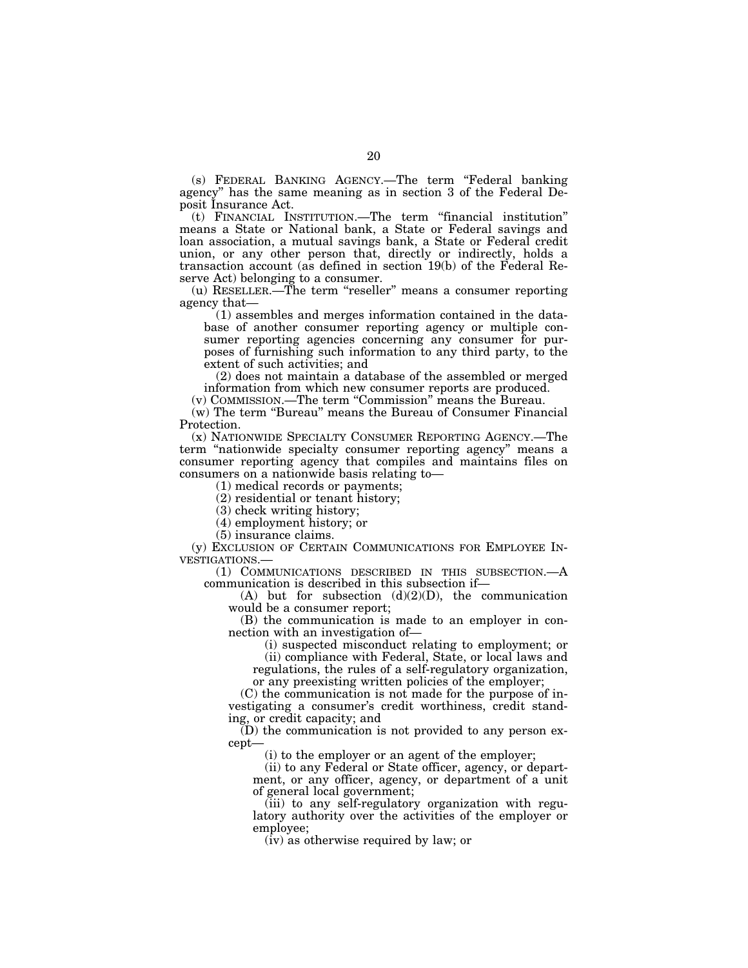(s) FEDERAL BANKING AGENCY.—The term ''Federal banking agency'' has the same meaning as in section 3 of the Federal Deposit Insurance Act.

(t) FINANCIAL INSTITUTION.—The term ''financial institution'' means a State or National bank, a State or Federal savings and loan association, a mutual savings bank, a State or Federal credit union, or any other person that, directly or indirectly, holds a transaction account (as defined in section 19(b) of the Federal Reserve Act) belonging to a consumer.

(u) RESELLER.—The term ''reseller'' means a consumer reporting agency that—

(1) assembles and merges information contained in the database of another consumer reporting agency or multiple consumer reporting agencies concerning any consumer for purposes of furnishing such information to any third party, to the extent of such activities; and

(2) does not maintain a database of the assembled or merged information from which new consumer reports are produced.

(v) COMMISSION.—The term ''Commission'' means the Bureau.

(w) The term ''Bureau'' means the Bureau of Consumer Financial Protection.

(x) NATIONWIDE SPECIALTY CONSUMER REPORTING AGENCY.—The term "nationwide specialty consumer reporting agency" means a consumer reporting agency that compiles and maintains files on consumers on a nationwide basis relating to—

(1) medical records or payments;

(2) residential or tenant history;

(3) check writing history;

(4) employment history; or

(5) insurance claims.

(y) EXCLUSION OF CERTAIN COMMUNICATIONS FOR EMPLOYEE IN-VESTIGATIONS.—

(1) COMMUNICATIONS DESCRIBED IN THIS SUBSECTION.—A communication is described in this subsection if—

(A) but for subsection  $(d)(2)(D)$ , the communication would be a consumer report;

(B) the communication is made to an employer in connection with an investigation of—

(i) suspected misconduct relating to employment; or

(ii) compliance with Federal, State, or local laws and regulations, the rules of a self-regulatory organization,

or any preexisting written policies of the employer;

(C) the communication is not made for the purpose of investigating a consumer's credit worthiness, credit standing, or credit capacity; and

(D) the communication is not provided to any person except—

(i) to the employer or an agent of the employer;

(ii) to any Federal or State officer, agency, or department, or any officer, agency, or department of a unit of general local government;

(iii) to any self-regulatory organization with regulatory authority over the activities of the employer or employee;

(iv) as otherwise required by law; or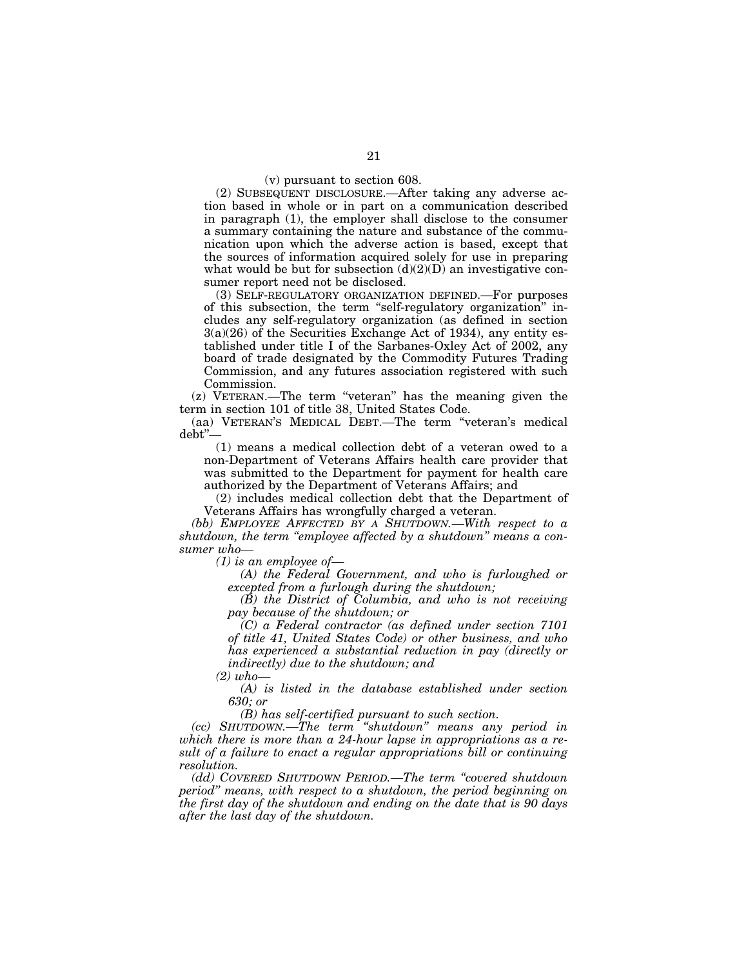(2) SUBSEQUENT DISCLOSURE.—After taking any adverse action based in whole or in part on a communication described in paragraph (1), the employer shall disclose to the consumer a summary containing the nature and substance of the communication upon which the adverse action is based, except that the sources of information acquired solely for use in preparing what would be but for subsection  $(d)(2)(D)$  an investigative consumer report need not be disclosed.

(3) SELF-REGULATORY ORGANIZATION DEFINED.—For purposes of this subsection, the term "self-regulatory organization" includes any self-regulatory organization (as defined in section 3(a)(26) of the Securities Exchange Act of 1934), any entity established under title I of the Sarbanes-Oxley Act of 2002, any board of trade designated by the Commodity Futures Trading Commission, and any futures association registered with such Commission.

(z) VETERAN.—The term ''veteran'' has the meaning given the term in section 101 of title 38, United States Code.

(aa) VETERAN'S MEDICAL DEBT.—The term ''veteran's medical debt''—

(1) means a medical collection debt of a veteran owed to a non-Department of Veterans Affairs health care provider that was submitted to the Department for payment for health care authorized by the Department of Veterans Affairs; and

(2) includes medical collection debt that the Department of Veterans Affairs has wrongfully charged a veteran.

*(bb) EMPLOYEE AFFECTED BY A SHUTDOWN.—With respect to a shutdown, the term ''employee affected by a shutdown'' means a consumer who—* 

*(1) is an employee of—* 

*(A) the Federal Government, and who is furloughed or excepted from a furlough during the shutdown;* 

*(B) the District of Columbia, and who is not receiving pay because of the shutdown; or* 

*(C) a Federal contractor (as defined under section 7101 of title 41, United States Code) or other business, and who has experienced a substantial reduction in pay (directly or indirectly) due to the shutdown; and* 

*(2) who—* 

*(A) is listed in the database established under section 630; or* 

*(B) has self-certified pursuant to such section.* 

*(cc) SHUTDOWN.—The term ''shutdown'' means any period in which there is more than a 24-hour lapse in appropriations as a result of a failure to enact a regular appropriations bill or continuing resolution.* 

*(dd) COVERED SHUTDOWN PERIOD.—The term ''covered shutdown period'' means, with respect to a shutdown, the period beginning on the first day of the shutdown and ending on the date that is 90 days after the last day of the shutdown.*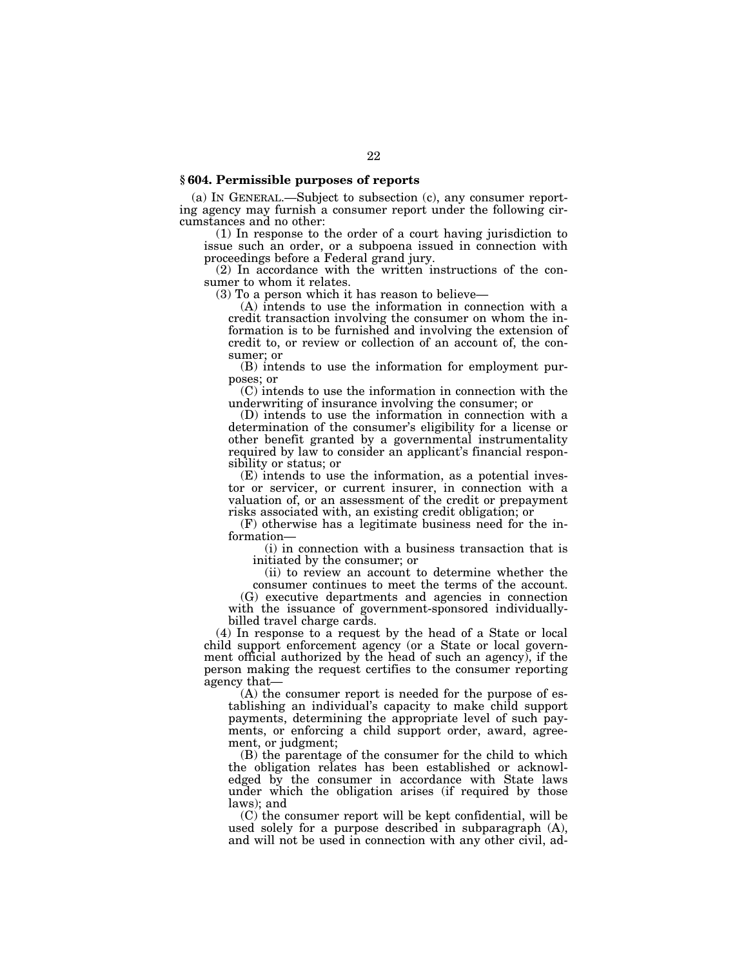### **§ 604. Permissible purposes of reports**

(a) IN GENERAL.—Subject to subsection (c), any consumer reporting agency may furnish a consumer report under the following circumstances and no other:

(1) In response to the order of a court having jurisdiction to issue such an order, or a subpoena issued in connection with proceedings before a Federal grand jury.

(2) In accordance with the written instructions of the consumer to whom it relates.

(3) To a person which it has reason to believe—

(A) intends to use the information in connection with a credit transaction involving the consumer on whom the information is to be furnished and involving the extension of credit to, or review or collection of an account of, the consumer; or

(B) intends to use the information for employment purposes; or

(C) intends to use the information in connection with the underwriting of insurance involving the consumer; or

(D) intends to use the information in connection with a determination of the consumer's eligibility for a license or other benefit granted by a governmental instrumentality required by law to consider an applicant's financial responsibility or status; or

(E) intends to use the information, as a potential investor or servicer, or current insurer, in connection with a valuation of, or an assessment of the credit or prepayment risks associated with, an existing credit obligation; or

(F) otherwise has a legitimate business need for the information—

(i) in connection with a business transaction that is initiated by the consumer; or

(ii) to review an account to determine whether the consumer continues to meet the terms of the account.

(G) executive departments and agencies in connection with the issuance of government-sponsored individuallybilled travel charge cards.

(4) In response to a request by the head of a State or local child support enforcement agency (or a State or local government official authorized by the head of such an agency), if the person making the request certifies to the consumer reporting agency that—

(A) the consumer report is needed for the purpose of establishing an individual's capacity to make child support payments, determining the appropriate level of such payments, or enforcing a child support order, award, agreement, or judgment;

(B) the parentage of the consumer for the child to which the obligation relates has been established or acknowledged by the consumer in accordance with State laws under which the obligation arises (if required by those laws); and

(C) the consumer report will be kept confidential, will be used solely for a purpose described in subparagraph (A), and will not be used in connection with any other civil, ad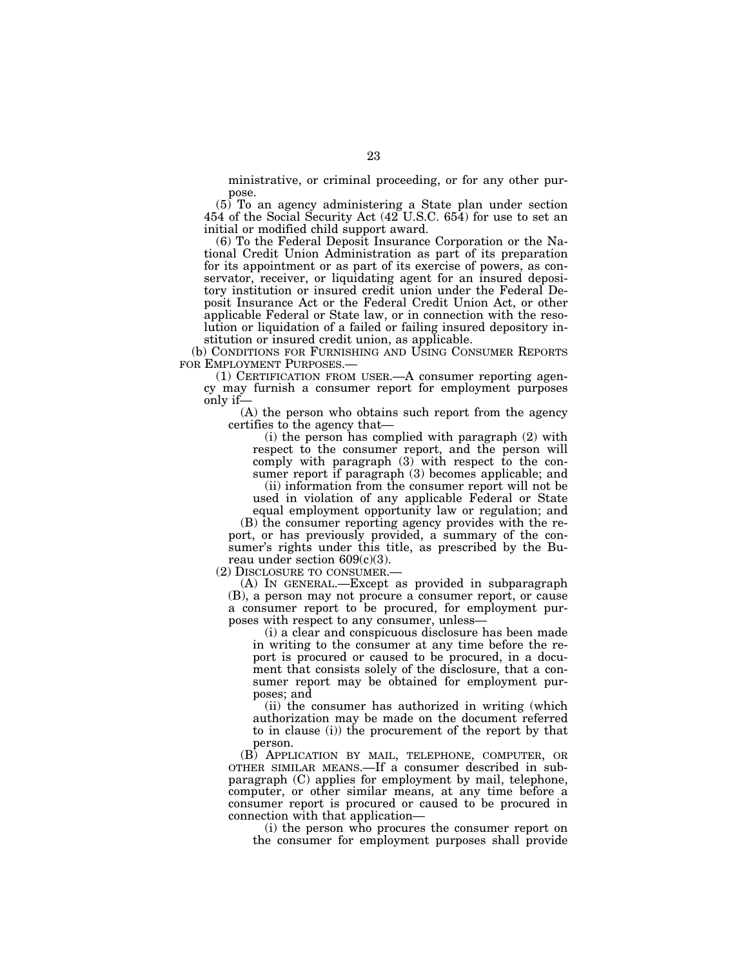ministrative, or criminal proceeding, or for any other purpose.

(5) To an agency administering a State plan under section 454 of the Social Security Act (42 U.S.C. 654) for use to set an initial or modified child support award.

(6) To the Federal Deposit Insurance Corporation or the National Credit Union Administration as part of its preparation for its appointment or as part of its exercise of powers, as conservator, receiver, or liquidating agent for an insured depository institution or insured credit union under the Federal Deposit Insurance Act or the Federal Credit Union Act, or other applicable Federal or State law, or in connection with the resolution or liquidation of a failed or failing insured depository institution or insured credit union, as applicable.

(b) CONDITIONS FOR FURNISHING AND USING CONSUMER REPORTS FOR EMPLOYMENT PURPOSES.—

(1) CERTIFICATION FROM USER.—A consumer reporting agency may furnish a consumer report for employment purposes only if—

(A) the person who obtains such report from the agency certifies to the agency that—

(i) the person has complied with paragraph (2) with respect to the consumer report, and the person will comply with paragraph  $(3)$  with respect to the consumer report if paragraph (3) becomes applicable; and

(ii) information from the consumer report will not be used in violation of any applicable Federal or State

equal employment opportunity law or regulation; and (B) the consumer reporting agency provides with the re-

port, or has previously provided, a summary of the consumer's rights under this title, as prescribed by the Bureau under section  $609(c)(3)$ .<br>(2) DISCLOSURE TO CONSUMER.

 $(A)$  In GENERAL.—Except as provided in subparagraph (B), a person may not procure a consumer report, or cause a consumer report to be procured, for employment purposes with respect to any consumer, unless—

(i) a clear and conspicuous disclosure has been made in writing to the consumer at any time before the report is procured or caused to be procured, in a document that consists solely of the disclosure, that a consumer report may be obtained for employment purposes; and

(ii) the consumer has authorized in writing (which authorization may be made on the document referred to in clause (i)) the procurement of the report by that person.

(B) APPLICATION BY MAIL, TELEPHONE, COMPUTER, OR OTHER SIMILAR MEANS.—If a consumer described in subparagraph (C) applies for employment by mail, telephone, computer, or other similar means, at any time before a consumer report is procured or caused to be procured in connection with that application—

(i) the person who procures the consumer report on the consumer for employment purposes shall provide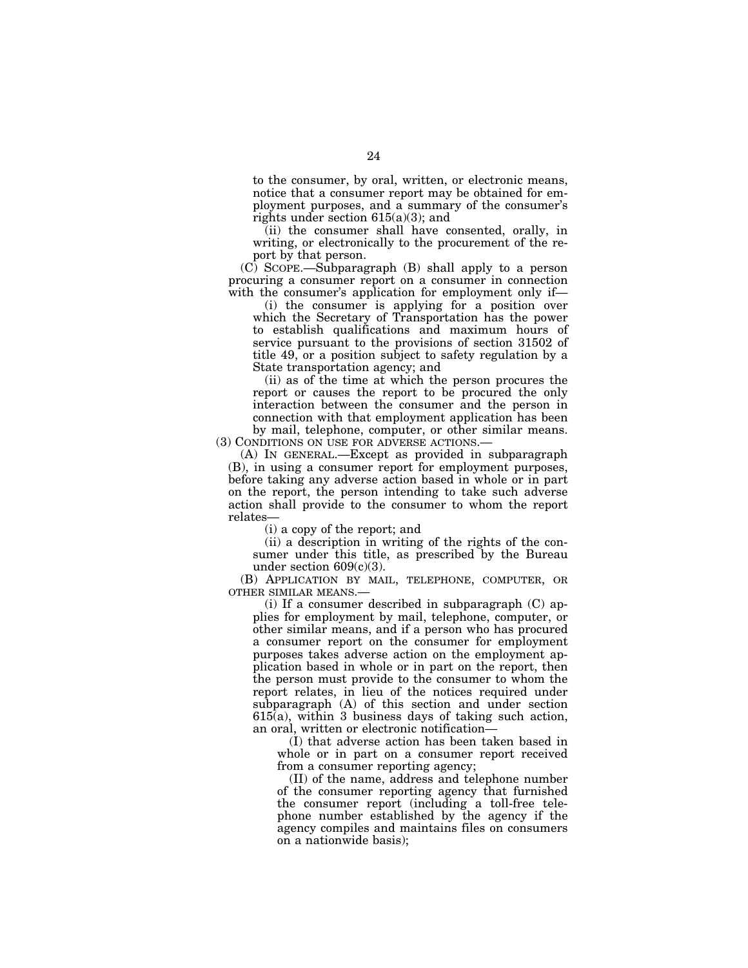to the consumer, by oral, written, or electronic means, notice that a consumer report may be obtained for employment purposes, and a summary of the consumer's rights under section  $615(a)(3)$ ; and

(ii) the consumer shall have consented, orally, in writing, or electronically to the procurement of the report by that person.

(C) SCOPE.—Subparagraph (B) shall apply to a person procuring a consumer report on a consumer in connection with the consumer's application for employment only if—

(i) the consumer is applying for a position over which the Secretary of Transportation has the power to establish qualifications and maximum hours of service pursuant to the provisions of section 31502 of title 49, or a position subject to safety regulation by a State transportation agency; and

(ii) as of the time at which the person procures the report or causes the report to be procured the only interaction between the consumer and the person in connection with that employment application has been by mail, telephone, computer, or other similar means.

(3) CONDITIONS ON USE FOR ADVERSE ACTIONS.—

(A) IN GENERAL.—Except as provided in subparagraph (B), in using a consumer report for employment purposes, before taking any adverse action based in whole or in part on the report, the person intending to take such adverse action shall provide to the consumer to whom the report relates—

(i) a copy of the report; and

(ii) a description in writing of the rights of the consumer under this title, as prescribed by the Bureau under section  $609(c)(3)$ .

(B) APPLICATION BY MAIL, TELEPHONE, COMPUTER, OR OTHER SIMILAR MEANS.—

(i) If a consumer described in subparagraph (C) applies for employment by mail, telephone, computer, or other similar means, and if a person who has procured a consumer report on the consumer for employment purposes takes adverse action on the employment application based in whole or in part on the report, then the person must provide to the consumer to whom the report relates, in lieu of the notices required under subparagraph (A) of this section and under section 615(a), within 3 business days of taking such action, an oral, written or electronic notification—

(I) that adverse action has been taken based in whole or in part on a consumer report received from a consumer reporting agency;

(II) of the name, address and telephone number of the consumer reporting agency that furnished the consumer report (including a toll-free telephone number established by the agency if the agency compiles and maintains files on consumers on a nationwide basis);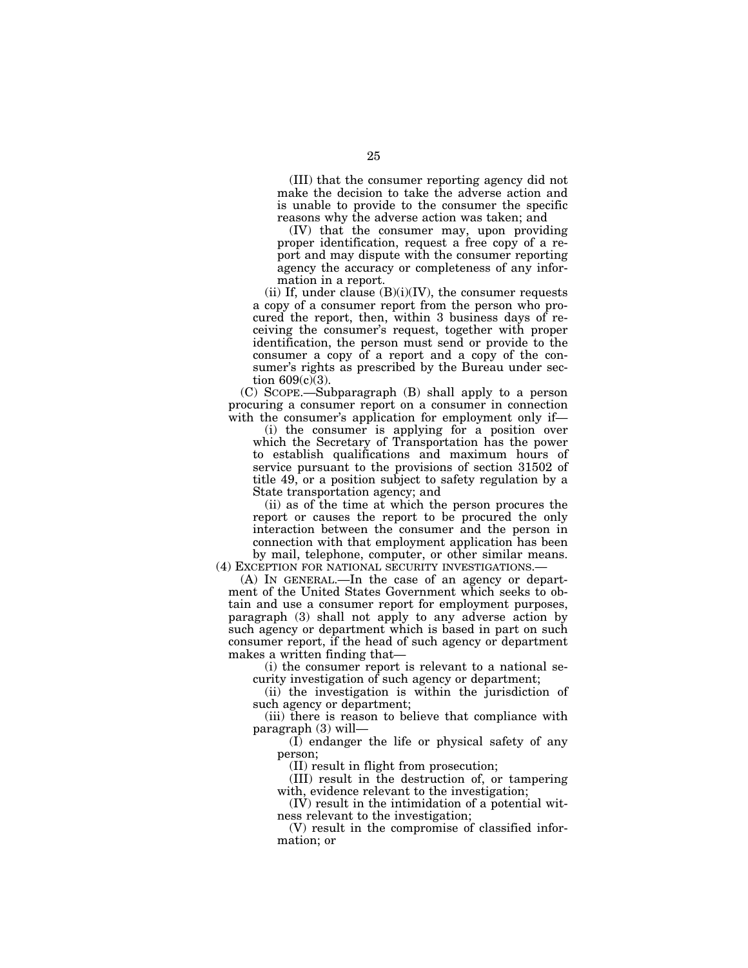(III) that the consumer reporting agency did not make the decision to take the adverse action and is unable to provide to the consumer the specific reasons why the adverse action was taken; and

(IV) that the consumer may, upon providing proper identification, request a free copy of a report and may dispute with the consumer reporting agency the accuracy or completeness of any information in a report.

(ii) If, under clause  $(B)(i)(IV)$ , the consumer requests a copy of a consumer report from the person who procured the report, then, within 3 business days of receiving the consumer's request, together with proper identification, the person must send or provide to the consumer a copy of a report and a copy of the consumer's rights as prescribed by the Bureau under section 609(c)(3).

(C) SCOPE.—Subparagraph (B) shall apply to a person procuring a consumer report on a consumer in connection with the consumer's application for employment only if—

(i) the consumer is applying for a position over which the Secretary of Transportation has the power to establish qualifications and maximum hours of service pursuant to the provisions of section 31502 of title 49, or a position subject to safety regulation by a State transportation agency; and

(ii) as of the time at which the person procures the report or causes the report to be procured the only interaction between the consumer and the person in connection with that employment application has been by mail, telephone, computer, or other similar means.

(4) EXCEPTION FOR NATIONAL SECURITY INVESTIGATIONS.—

(A) IN GENERAL.—In the case of an agency or department of the United States Government which seeks to obtain and use a consumer report for employment purposes, paragraph (3) shall not apply to any adverse action by such agency or department which is based in part on such consumer report, if the head of such agency or department makes a written finding that—

(i) the consumer report is relevant to a national security investigation of such agency or department;

(ii) the investigation is within the jurisdiction of such agency or department;

(iii) there is reason to believe that compliance with paragraph (3) will—

(I) endanger the life or physical safety of any person;

(II) result in flight from prosecution;

(III) result in the destruction of, or tampering with, evidence relevant to the investigation;

(IV) result in the intimidation of a potential witness relevant to the investigation;

(V) result in the compromise of classified information; or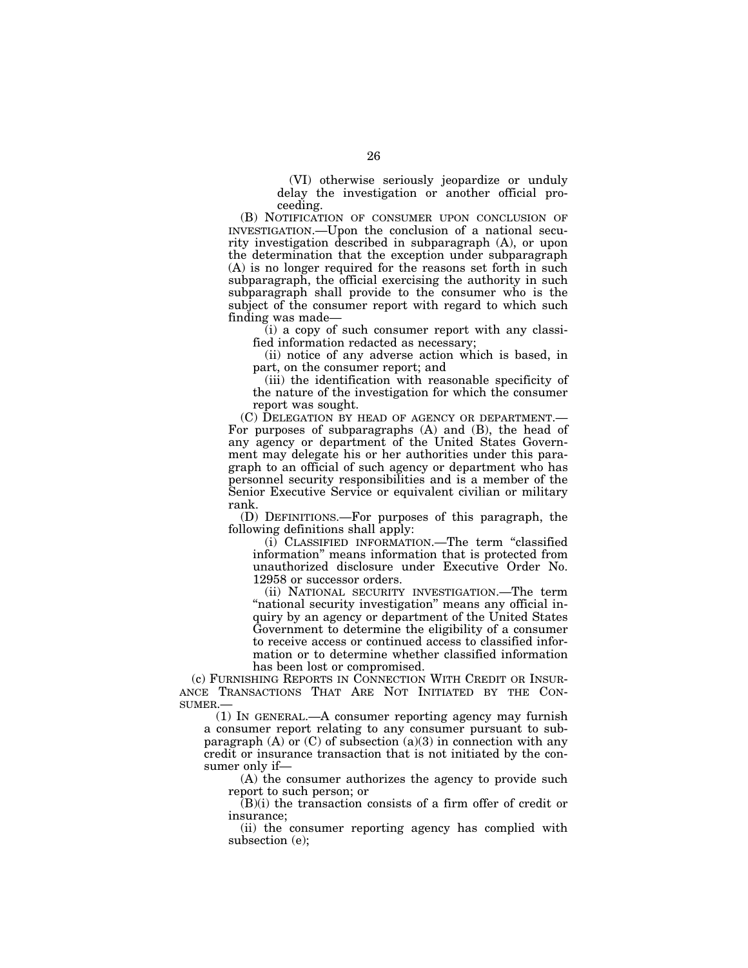(VI) otherwise seriously jeopardize or unduly delay the investigation or another official proceeding.

(B) NOTIFICATION OF CONSUMER UPON CONCLUSION OF INVESTIGATION.—Upon the conclusion of a national security investigation described in subparagraph (A), or upon the determination that the exception under subparagraph (A) is no longer required for the reasons set forth in such subparagraph, the official exercising the authority in such subparagraph shall provide to the consumer who is the subject of the consumer report with regard to which such finding was made—

(i) a copy of such consumer report with any classified information redacted as necessary;

(ii) notice of any adverse action which is based, in part, on the consumer report; and

(iii) the identification with reasonable specificity of the nature of the investigation for which the consumer report was sought.

(C) DELEGATION BY HEAD OF AGENCY OR DEPARTMENT.— For purposes of subparagraphs (A) and (B), the head of any agency or department of the United States Government may delegate his or her authorities under this paragraph to an official of such agency or department who has personnel security responsibilities and is a member of the Senior Executive Service or equivalent civilian or military rank.

(D) DEFINITIONS.—For purposes of this paragraph, the following definitions shall apply:

(i) CLASSIFIED INFORMATION.—The term ''classified information'' means information that is protected from unauthorized disclosure under Executive Order No. 12958 or successor orders.

(ii) NATIONAL SECURITY INVESTIGATION.—The term "national security investigation" means any official inquiry by an agency or department of the United States Government to determine the eligibility of a consumer to receive access or continued access to classified information or to determine whether classified information has been lost or compromised.

(c) FURNISHING REPORTS IN CONNECTION WITH CREDIT OR INSUR-ANCE TRANSACTIONS THAT ARE NOT INITIATED BY THE CON-SUMER.—

(1) IN GENERAL.—A consumer reporting agency may furnish a consumer report relating to any consumer pursuant to subparagraph  $(A)$  or  $(C)$  of subsection  $(a)(3)$  in connection with any credit or insurance transaction that is not initiated by the consumer only if—

(A) the consumer authorizes the agency to provide such report to such person; or

 $(B)(i)$  the transaction consists of a firm offer of credit or insurance;

(ii) the consumer reporting agency has complied with subsection (e);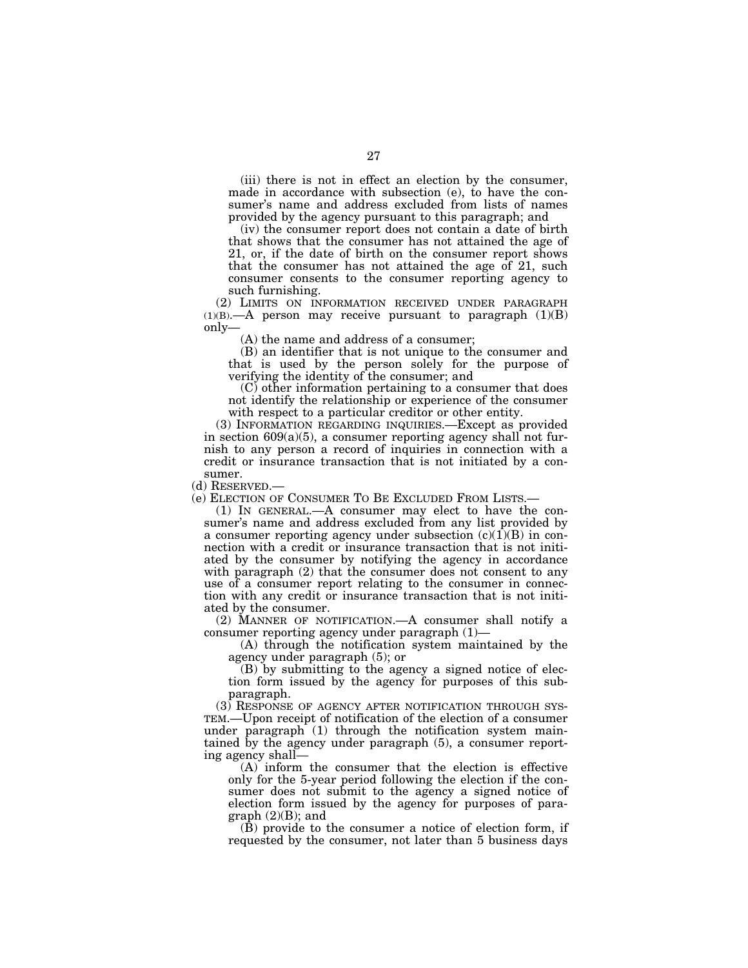(iii) there is not in effect an election by the consumer, made in accordance with subsection (e), to have the consumer's name and address excluded from lists of names provided by the agency pursuant to this paragraph; and

(iv) the consumer report does not contain a date of birth that shows that the consumer has not attained the age of 21, or, if the date of birth on the consumer report shows that the consumer has not attained the age of 21, such consumer consents to the consumer reporting agency to such furnishing.

(2) LIMITS ON INFORMATION RECEIVED UNDER PARAGRAPH  $(1)(B)$ .—A person may receive pursuant to paragraph  $(1)(B)$ only—

(A) the name and address of a consumer;

(B) an identifier that is not unique to the consumer and that is used by the person solely for the purpose of verifying the identity of the consumer; and

(C) other information pertaining to a consumer that does not identify the relationship or experience of the consumer with respect to a particular creditor or other entity.

(3) INFORMATION REGARDING INQUIRIES.—Except as provided in section  $609(a)(5)$ , a consumer reporting agency shall not furnish to any person a record of inquiries in connection with a credit or insurance transaction that is not initiated by a consumer.

(d) RESERVED.— (e) ELECTION OF CONSUMER TO BE EXCLUDED FROM LISTS.— (1) IN GENERAL.—A consumer may elect to have the consumer's name and address excluded from any list provided by a consumer reporting agency under subsection  $(c)(1)(B)$  in connection with a credit or insurance transaction that is not initiated by the consumer by notifying the agency in accordance with paragraph  $(2)$  that the consumer does not consent to any use of a consumer report relating to the consumer in connection with any credit or insurance transaction that is not initiated by the consumer.

(2) MANNER OF NOTIFICATION.—A consumer shall notify a consumer reporting agency under paragraph (1)—

(A) through the notification system maintained by the agency under paragraph (5); or

(B) by submitting to the agency a signed notice of election form issued by the agency for purposes of this subparagraph.

(3) RESPONSE OF AGENCY AFTER NOTIFICATION THROUGH SYS-TEM.—Upon receipt of notification of the election of a consumer under paragraph (1) through the notification system maintained by the agency under paragraph (5), a consumer reporting agency shall—

(A) inform the consumer that the election is effective only for the 5-year period following the election if the consumer does not submit to the agency a signed notice of election form issued by the agency for purposes of paragraph  $(2)(B)$ ; and

(B) provide to the consumer a notice of election form, if requested by the consumer, not later than 5 business days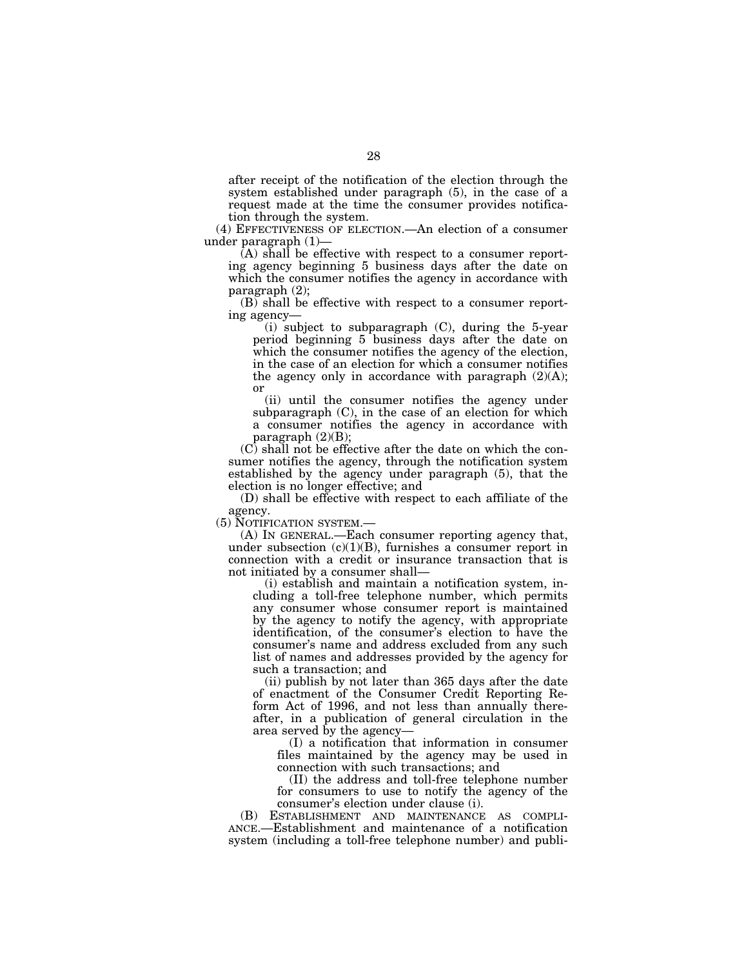after receipt of the notification of the election through the system established under paragraph (5), in the case of a request made at the time the consumer provides notification through the system.

(4) EFFECTIVENESS OF ELECTION.—An election of a consumer under paragraph (1)—

(A) shall be effective with respect to a consumer reporting agency beginning 5 business days after the date on which the consumer notifies the agency in accordance with paragraph (2);

(B) shall be effective with respect to a consumer reporting agency—

(i) subject to subparagraph (C), during the 5-year period beginning 5 business days after the date on which the consumer notifies the agency of the election, in the case of an election for which a consumer notifies the agency only in accordance with paragraph  $(2)(A)$ ; or

(ii) until the consumer notifies the agency under subparagraph (C), in the case of an election for which a consumer notifies the agency in accordance with paragraph (2)(B);

(C) shall not be effective after the date on which the consumer notifies the agency, through the notification system established by the agency under paragraph (5), that the election is no longer effective; and

(D) shall be effective with respect to each affiliate of the agency.

(5) NOTIFICATION SYSTEM.—

(A) IN GENERAL.—Each consumer reporting agency that, under subsection  $(c)(1)(B)$ , furnishes a consumer report in connection with a credit or insurance transaction that is not initiated by a consumer shall—

(i) establish and maintain a notification system, including a toll-free telephone number, which permits any consumer whose consumer report is maintained by the agency to notify the agency, with appropriate identification, of the consumer's election to have the consumer's name and address excluded from any such list of names and addresses provided by the agency for such a transaction; and

(ii) publish by not later than 365 days after the date of enactment of the Consumer Credit Reporting Reform Act of 1996, and not less than annually thereafter, in a publication of general circulation in the area served by the agency—

(I) a notification that information in consumer files maintained by the agency may be used in connection with such transactions; and

(II) the address and toll-free telephone number for consumers to use to notify the agency of the consumer's election under clause (i).

(B) ESTABLISHMENT AND MAINTENANCE AS COMPLI-ANCE.—Establishment and maintenance of a notification system (including a toll-free telephone number) and publi-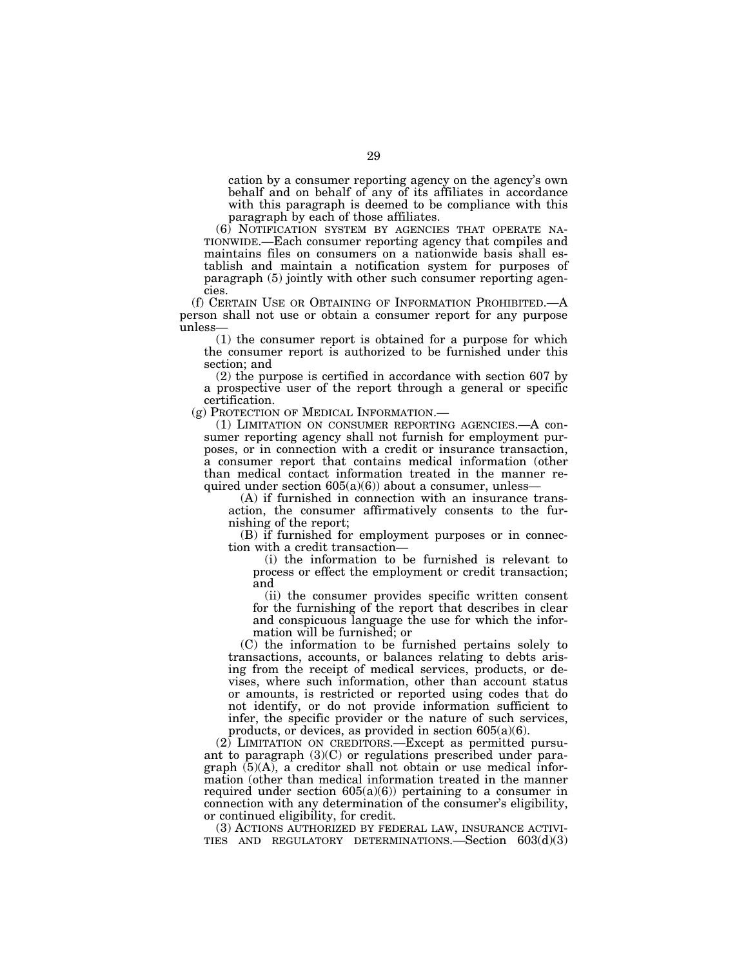cation by a consumer reporting agency on the agency's own behalf and on behalf of any of its affiliates in accordance with this paragraph is deemed to be compliance with this paragraph by each of those affiliates.<br>(6) NOTIFICATION SYSTEM BY AGENCIES THAT OPERATE NA-

TIONWIDE.—Each consumer reporting agency that compiles and maintains files on consumers on a nationwide basis shall establish and maintain a notification system for purposes of paragraph (5) jointly with other such consumer reporting agencies.

(f) CERTAIN USE OR OBTAINING OF INFORMATION PROHIBITED.—A person shall not use or obtain a consumer report for any purpose unless—

(1) the consumer report is obtained for a purpose for which the consumer report is authorized to be furnished under this section; and

(2) the purpose is certified in accordance with section 607 by a prospective user of the report through a general or specific certification.

(g) PROTECTION OF MEDICAL INFORMATION.—

(1) LIMITATION ON CONSUMER REPORTING AGENCIES.—A consumer reporting agency shall not furnish for employment purposes, or in connection with a credit or insurance transaction, a consumer report that contains medical information (other than medical contact information treated in the manner required under section  $605(a)(6)$  about a consumer, unless—

(A) if furnished in connection with an insurance transaction, the consumer affirmatively consents to the furnishing of the report;

(B) if furnished for employment purposes or in connection with a credit transaction—

(i) the information to be furnished is relevant to process or effect the employment or credit transaction; and

(ii) the consumer provides specific written consent for the furnishing of the report that describes in clear and conspicuous language the use for which the information will be furnished; or

(C) the information to be furnished pertains solely to transactions, accounts, or balances relating to debts arising from the receipt of medical services, products, or devises, where such information, other than account status or amounts, is restricted or reported using codes that do not identify, or do not provide information sufficient to infer, the specific provider or the nature of such services, products, or devices, as provided in section 605(a)(6).

 $(2)$  LIMITATION ON CREDITORS.—Except as permitted pursuant to paragraph (3)(C) or regulations prescribed under paragraph (5)(A), a creditor shall not obtain or use medical information (other than medical information treated in the manner required under section  $605(a)(6)$  pertaining to a consumer in connection with any determination of the consumer's eligibility, or continued eligibility, for credit.

(3) ACTIONS AUTHORIZED BY FEDERAL LAW, INSURANCE ACTIVI-TIES AND REGULATORY DETERMINATIONS.—Section 603(d)(3)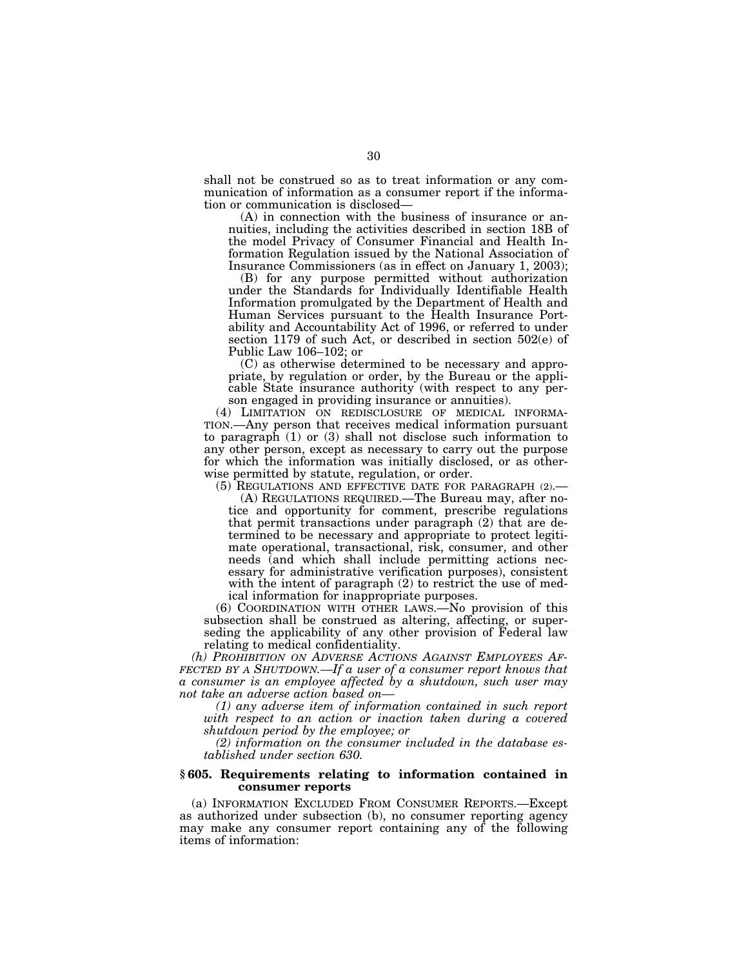shall not be construed so as to treat information or any communication of information as a consumer report if the information or communication is disclosed—

(A) in connection with the business of insurance or annuities, including the activities described in section 18B of the model Privacy of Consumer Financial and Health Information Regulation issued by the National Association of Insurance Commissioners (as in effect on January 1, 2003);

(B) for any purpose permitted without authorization under the Standards for Individually Identifiable Health Information promulgated by the Department of Health and Human Services pursuant to the Health Insurance Portability and Accountability Act of 1996, or referred to under section 1179 of such Act, or described in section 502(e) of Public Law 106–102; or

(C) as otherwise determined to be necessary and appropriate, by regulation or order, by the Bureau or the applicable State insurance authority (with respect to any person engaged in providing insurance or annuities).

(4) LIMITATION ON REDISCLOSURE OF MEDICAL INFORMA- TION.—Any person that receives medical information pursuant to paragraph (1) or (3) shall not disclose such information to any other person, except as necessary to carry out the purpose for which the information was initially disclosed, or as otherwise permitted by statute, regulation, or order.

(5) REGULATIONS AND EFFECTIVE DATE FOR PARAGRAPH (2).— (A) REGULATIONS REQUIRED.—The Bureau may, after notice and opportunity for comment, prescribe regulations that permit transactions under paragraph (2) that are determined to be necessary and appropriate to protect legitimate operational, transactional, risk, consumer, and other needs (and which shall include permitting actions necessary for administrative verification purposes), consistent with the intent of paragraph  $(2)$  to restrict the use of medical information for inappropriate purposes.

(6) COORDINATION WITH OTHER LAWS.—No provision of this subsection shall be construed as altering, affecting, or superseding the applicability of any other provision of Federal law relating to medical confidentiality.

*(h) PROHIBITION ON ADVERSE ACTIONS AGAINST EMPLOYEES AF-FECTED BY A SHUTDOWN.—If a user of a consumer report knows that a consumer is an employee affected by a shutdown, such user may not take an adverse action based on—* 

*(1) any adverse item of information contained in such report with respect to an action or inaction taken during a covered shutdown period by the employee; or* 

*(2) information on the consumer included in the database established under section 630.* 

## **§ 605. Requirements relating to information contained in consumer reports**

(a) INFORMATION EXCLUDED FROM CONSUMER REPORTS.—Except as authorized under subsection (b), no consumer reporting agency may make any consumer report containing any of the following items of information: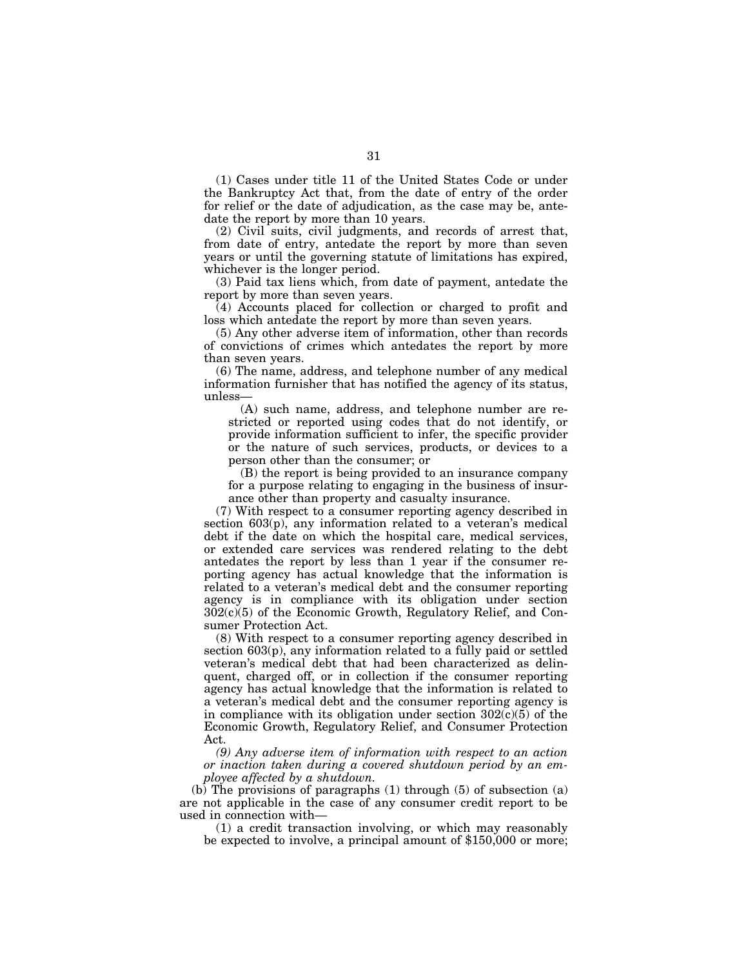(1) Cases under title 11 of the United States Code or under the Bankruptcy Act that, from the date of entry of the order for relief or the date of adjudication, as the case may be, antedate the report by more than 10 years.

(2) Civil suits, civil judgments, and records of arrest that, from date of entry, antedate the report by more than seven years or until the governing statute of limitations has expired, whichever is the longer period.

(3) Paid tax liens which, from date of payment, antedate the report by more than seven years.

(4) Accounts placed for collection or charged to profit and loss which antedate the report by more than seven years.

(5) Any other adverse item of information, other than records of convictions of crimes which antedates the report by more than seven years.

(6) The name, address, and telephone number of any medical information furnisher that has notified the agency of its status, unless—

(A) such name, address, and telephone number are restricted or reported using codes that do not identify, or provide information sufficient to infer, the specific provider or the nature of such services, products, or devices to a person other than the consumer; or

(B) the report is being provided to an insurance company for a purpose relating to engaging in the business of insurance other than property and casualty insurance.

(7) With respect to a consumer reporting agency described in section 603(p), any information related to a veteran's medical debt if the date on which the hospital care, medical services, or extended care services was rendered relating to the debt antedates the report by less than 1 year if the consumer reporting agency has actual knowledge that the information is related to a veteran's medical debt and the consumer reporting agency is in compliance with its obligation under section  $302(c)(5)$  of the Economic Growth, Regulatory Relief, and Consumer Protection Act.

(8) With respect to a consumer reporting agency described in section 603(p), any information related to a fully paid or settled veteran's medical debt that had been characterized as delinquent, charged off, or in collection if the consumer reporting agency has actual knowledge that the information is related to a veteran's medical debt and the consumer reporting agency is in compliance with its obligation under section  $302(c)(5)$  of the Economic Growth, Regulatory Relief, and Consumer Protection Act.

*(9) Any adverse item of information with respect to an action or inaction taken during a covered shutdown period by an employee affected by a shutdown.* 

 $(b)$  The provisions of paragraphs (1) through (5) of subsection (a) are not applicable in the case of any consumer credit report to be used in connection with—

(1) a credit transaction involving, or which may reasonably be expected to involve, a principal amount of \$150,000 or more;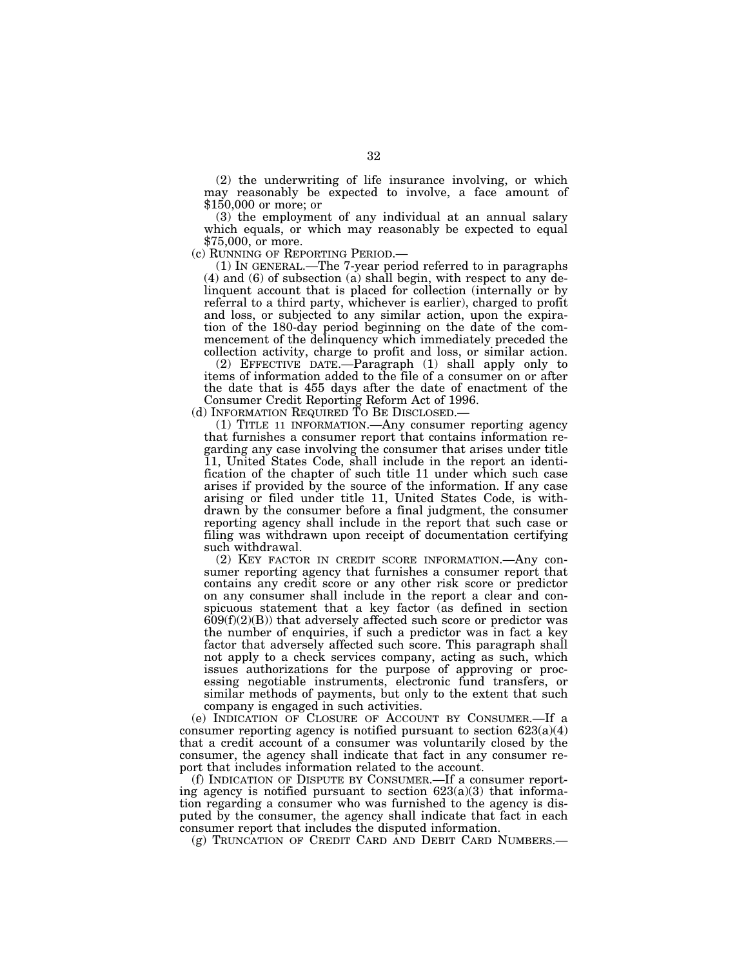(2) the underwriting of life insurance involving, or which may reasonably be expected to involve, a face amount of \$150,000 or more; or

(3) the employment of any individual at an annual salary which equals, or which may reasonably be expected to equal \$75,000, or more.<br>(c) RUNNING OF REPORTING PERIOD.—

(c) RUNNING OF REPORTING PERIOD.— (1) IN GENERAL.—The 7-year period referred to in paragraphs (4) and (6) of subsection (a) shall begin, with respect to any delinquent account that is placed for collection (internally or by referral to a third party, whichever is earlier), charged to profit and loss, or subjected to any similar action, upon the expiration of the 180-day period beginning on the date of the commencement of the delinquency which immediately preceded the collection activity, charge to profit and loss, or similar action.

(2) EFFECTIVE DATE.—Paragraph (1) shall apply only to items of information added to the file of a consumer on or after the date that is 455 days after the date of enactment of the Consumer Credit Reporting Reform Act of 1996.

(d) INFORMATION REQUIRED TO BE DISCLOSED.—

(1) TITLE 11 INFORMATION.—Any consumer reporting agency that furnishes a consumer report that contains information regarding any case involving the consumer that arises under title 11, United States Code, shall include in the report an identification of the chapter of such title 11 under which such case arises if provided by the source of the information. If any case arising or filed under title 11, United States Code, is withdrawn by the consumer before a final judgment, the consumer reporting agency shall include in the report that such case or filing was withdrawn upon receipt of documentation certifying such withdrawal.

(2) KEY FACTOR IN CREDIT SCORE INFORMATION.—Any consumer reporting agency that furnishes a consumer report that contains any credit score or any other risk score or predictor on any consumer shall include in the report a clear and conspicuous statement that a key factor (as defined in section  $609(f)(2)(B)$  that adversely affected such score or predictor was the number of enquiries, if such a predictor was in fact a key factor that adversely affected such score. This paragraph shall not apply to a check services company, acting as such, which issues authorizations for the purpose of approving or processing negotiable instruments, electronic fund transfers, or similar methods of payments, but only to the extent that such company is engaged in such activities.

(e) INDICATION OF CLOSURE OF ACCOUNT BY CONSUMER.—If a consumer reporting agency is notified pursuant to section  $623(a)(4)$ that a credit account of a consumer was voluntarily closed by the consumer, the agency shall indicate that fact in any consumer report that includes information related to the account.

(f) INDICATION OF DISPUTE BY CONSUMER.—If a consumer reporting agency is notified pursuant to section  $623(a)(3)$  that information regarding a consumer who was furnished to the agency is disputed by the consumer, the agency shall indicate that fact in each consumer report that includes the disputed information.

(g) TRUNCATION OF CREDIT CARD AND DEBIT CARD NUMBERS.—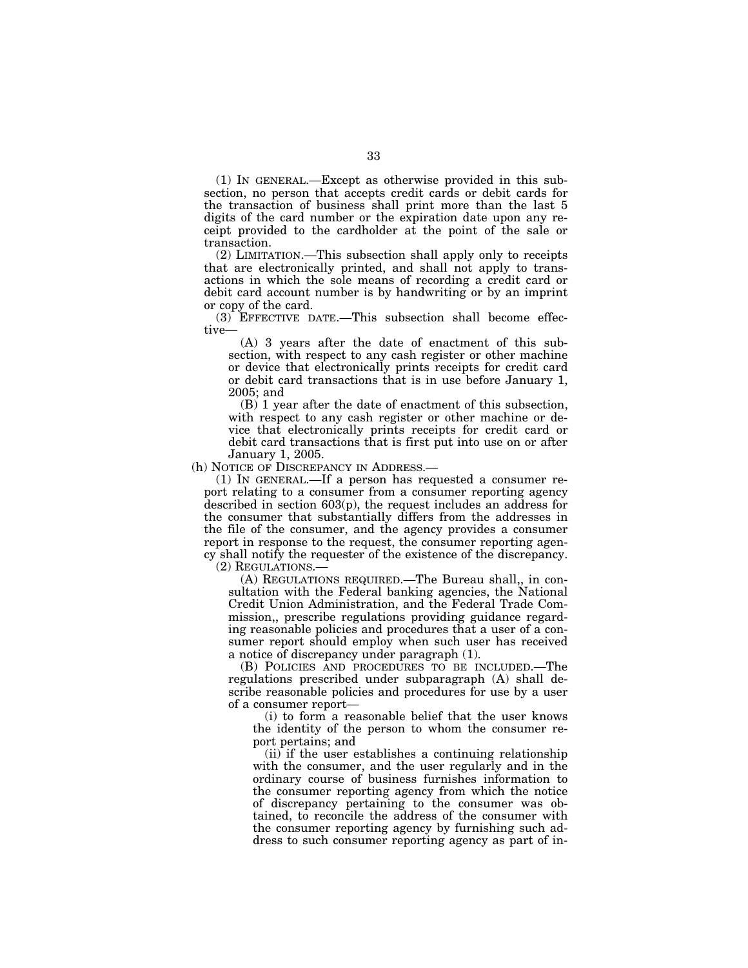(1) IN GENERAL.—Except as otherwise provided in this subsection, no person that accepts credit cards or debit cards for the transaction of business shall print more than the last 5 digits of the card number or the expiration date upon any receipt provided to the cardholder at the point of the sale or transaction.

(2) LIMITATION.—This subsection shall apply only to receipts that are electronically printed, and shall not apply to transactions in which the sole means of recording a credit card or debit card account number is by handwriting or by an imprint or copy of the card.

(3) EFFECTIVE DATE.—This subsection shall become effective—

(A) 3 years after the date of enactment of this subsection, with respect to any cash register or other machine or device that electronically prints receipts for credit card or debit card transactions that is in use before January 1, 2005; and

(B) 1 year after the date of enactment of this subsection, with respect to any cash register or other machine or device that electronically prints receipts for credit card or debit card transactions that is first put into use on or after January 1, 2005.

(h) NOTICE OF DISCREPANCY IN ADDRESS.—

(1) IN GENERAL.—If a person has requested a consumer report relating to a consumer from a consumer reporting agency described in section 603(p), the request includes an address for the consumer that substantially differs from the addresses in the file of the consumer, and the agency provides a consumer report in response to the request, the consumer reporting agency shall notify the requester of the existence of the discrepancy.

(2) REGULATIONS.—

(A) REGULATIONS REQUIRED.—The Bureau shall,, in consultation with the Federal banking agencies, the National Credit Union Administration, and the Federal Trade Commission,, prescribe regulations providing guidance regarding reasonable policies and procedures that a user of a consumer report should employ when such user has received a notice of discrepancy under paragraph (1).

(B) POLICIES AND PROCEDURES TO BE INCLUDED.—The regulations prescribed under subparagraph (A) shall describe reasonable policies and procedures for use by a user of a consumer report—

(i) to form a reasonable belief that the user knows the identity of the person to whom the consumer report pertains; and

(ii) if the user establishes a continuing relationship with the consumer, and the user regularly and in the ordinary course of business furnishes information to the consumer reporting agency from which the notice of discrepancy pertaining to the consumer was obtained, to reconcile the address of the consumer with the consumer reporting agency by furnishing such address to such consumer reporting agency as part of in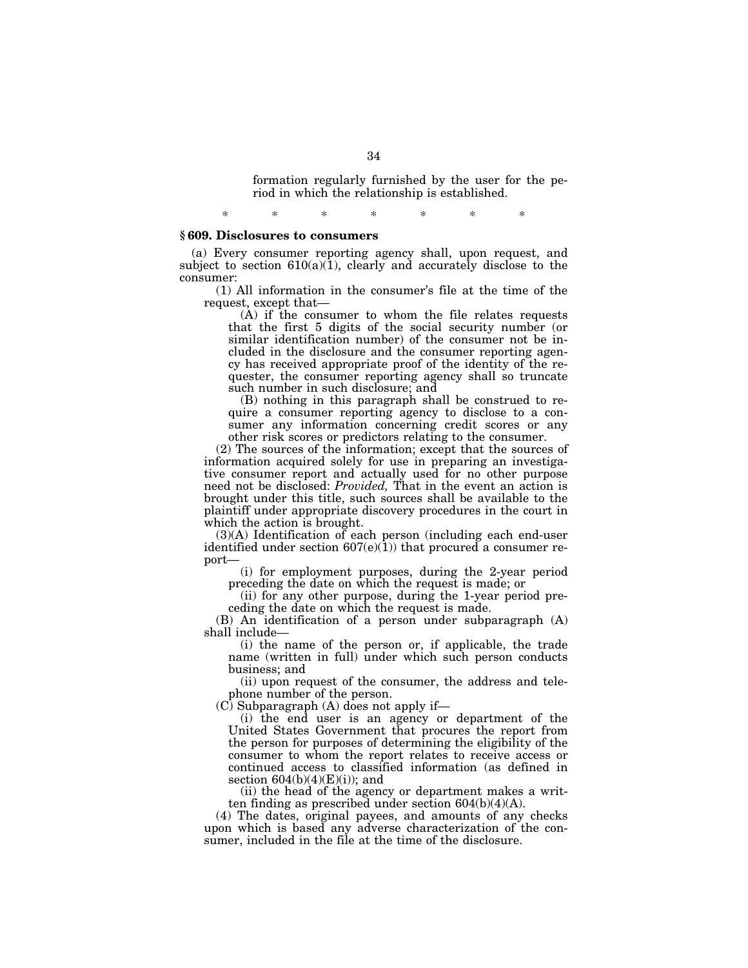formation regularly furnished by the user for the period in which the relationship is established.

\* \* \* \* \* \* \*

# **§ 609. Disclosures to consumers**

(a) Every consumer reporting agency shall, upon request, and subject to section  $610(a)(1)$ , clearly and accurately disclose to the consumer:

(1) All information in the consumer's file at the time of the request, except that—

(A) if the consumer to whom the file relates requests that the first 5 digits of the social security number (or similar identification number) of the consumer not be included in the disclosure and the consumer reporting agency has received appropriate proof of the identity of the requester, the consumer reporting agency shall so truncate such number in such disclosure; and

(B) nothing in this paragraph shall be construed to require a consumer reporting agency to disclose to a consumer any information concerning credit scores or any other risk scores or predictors relating to the consumer.

(2) The sources of the information; except that the sources of information acquired solely for use in preparing an investigative consumer report and actually used for no other purpose need not be disclosed: *Provided,* That in the event an action is brought under this title, such sources shall be available to the plaintiff under appropriate discovery procedures in the court in which the action is brought.

 $(3)(A)$  Identification of each person (including each end-user identified under section  $607(e)(1)$ ) that procured a consumer report—

(i) for employment purposes, during the 2-year period preceding the date on which the request is made; or

(ii) for any other purpose, during the 1-year period preceding the date on which the request is made.

(B) An identification of a person under subparagraph (A) shall include—

(i) the name of the person or, if applicable, the trade name (written in full) under which such person conducts business; and

(ii) upon request of the consumer, the address and telephone number of the person.

(C) Subparagraph (A) does not apply if—

(i) the end user is an agency or department of the United States Government that procures the report from the person for purposes of determining the eligibility of the consumer to whom the report relates to receive access or continued access to classified information (as defined in section  $604(b)(4)(E)(i)$ ; and

(ii) the head of the agency or department makes a written finding as prescribed under section 604(b)(4)(A).

(4) The dates, original payees, and amounts of any checks upon which is based any adverse characterization of the consumer, included in the file at the time of the disclosure.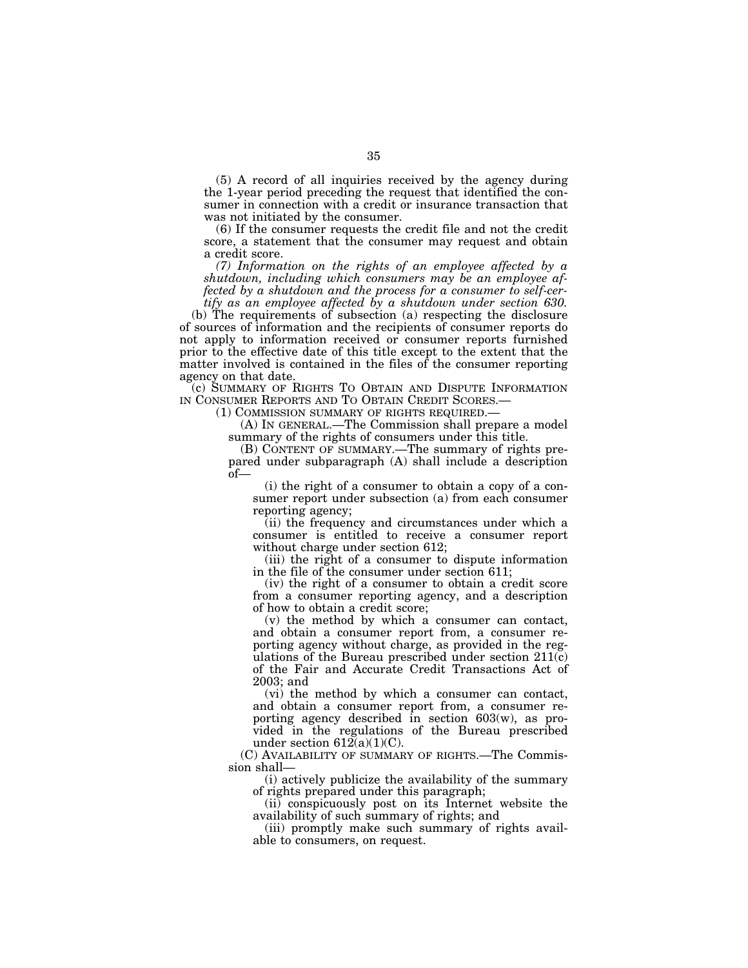(5) A record of all inquiries received by the agency during the 1-year period preceding the request that identified the consumer in connection with a credit or insurance transaction that was not initiated by the consumer.

(6) If the consumer requests the credit file and not the credit score, a statement that the consumer may request and obtain a credit score.

*(7) Information on the rights of an employee affected by a shutdown, including which consumers may be an employee affected by a shutdown and the process for a consumer to self-certify as an employee affected by a shutdown under section 630.* 

(b) The requirements of subsection (a) respecting the disclosure of sources of information and the recipients of consumer reports do not apply to information received or consumer reports furnished prior to the effective date of this title except to the extent that the matter involved is contained in the files of the consumer reporting agency on that date.

(c) SUMMARY OF RIGHTS TO OBTAIN AND DISPUTE INFORMATION IN CONSUMER REPORTS AND TO OBTAIN CREDIT SCORES.—

(1) COMMISSION SUMMARY OF RIGHTS REQUIRED.—

(A) IN GENERAL.—The Commission shall prepare a model summary of the rights of consumers under this title.

(B) CONTENT OF SUMMARY.—The summary of rights prepared under subparagraph (A) shall include a description of—

(i) the right of a consumer to obtain a copy of a consumer report under subsection (a) from each consumer reporting agency;

(ii) the frequency and circumstances under which a consumer is entitled to receive a consumer report without charge under section 612;

(iii) the right of a consumer to dispute information in the file of the consumer under section 611;

(iv) the right of a consumer to obtain a credit score from a consumer reporting agency, and a description of how to obtain a credit score;

(v) the method by which a consumer can contact, and obtain a consumer report from, a consumer reporting agency without charge, as provided in the regulations of the Bureau prescribed under section  $211(c)$ of the Fair and Accurate Credit Transactions Act of 2003; and

(vi) the method by which a consumer can contact, and obtain a consumer report from, a consumer reporting agency described in section 603(w), as provided in the regulations of the Bureau prescribed under section  $612(a)(1)(C)$ .

(C) AVAILABILITY OF SUMMARY OF RIGHTS.—The Commission shall—

(i) actively publicize the availability of the summary of rights prepared under this paragraph;

(ii) conspicuously post on its Internet website the availability of such summary of rights; and

(iii) promptly make such summary of rights available to consumers, on request.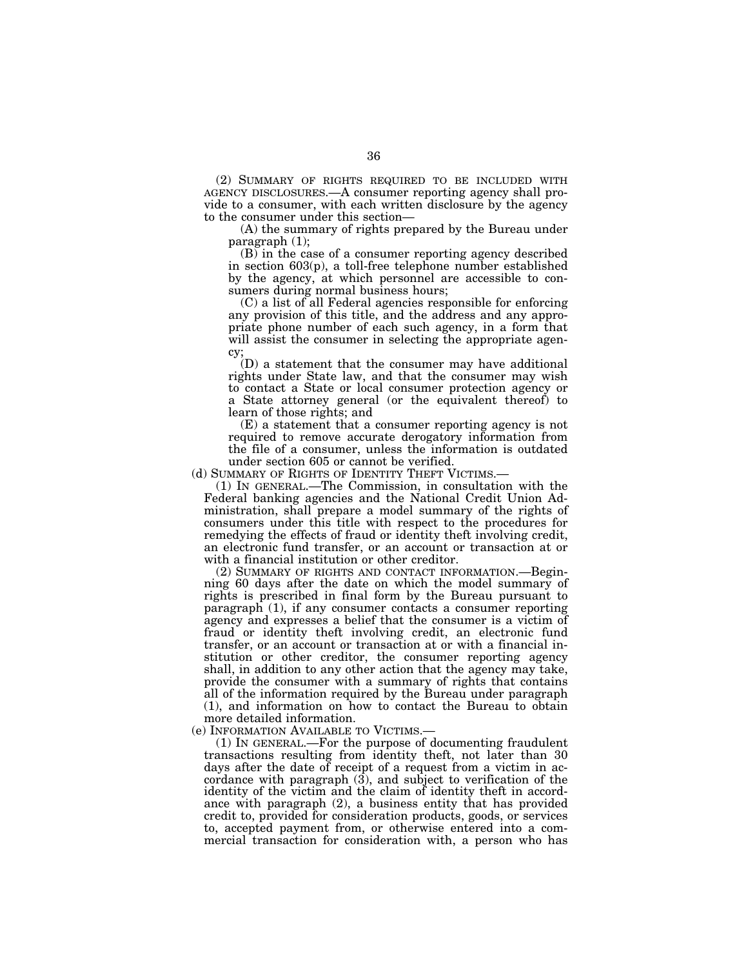(2) SUMMARY OF RIGHTS REQUIRED TO BE INCLUDED WITH AGENCY DISCLOSURES.—A consumer reporting agency shall provide to a consumer, with each written disclosure by the agency to the consumer under this section—

(A) the summary of rights prepared by the Bureau under paragraph (1);

(B) in the case of a consumer reporting agency described in section 603(p), a toll-free telephone number established by the agency, at which personnel are accessible to consumers during normal business hours;

(C) a list of all Federal agencies responsible for enforcing any provision of this title, and the address and any appropriate phone number of each such agency, in a form that will assist the consumer in selecting the appropriate agency;

(D) a statement that the consumer may have additional rights under State law, and that the consumer may wish to contact a State or local consumer protection agency or a State attorney general (or the equivalent thereof) to learn of those rights; and

(E) a statement that a consumer reporting agency is not required to remove accurate derogatory information from the file of a consumer, unless the information is outdated under section 605 or cannot be verified.

(d) SUMMARY OF RIGHTS OF IDENTITY THEFT VICTIMS.— (1) IN GENERAL.—The Commission, in consultation with the Federal banking agencies and the National Credit Union Administration, shall prepare a model summary of the rights of consumers under this title with respect to the procedures for remedying the effects of fraud or identity theft involving credit, an electronic fund transfer, or an account or transaction at or with a financial institution or other creditor.

(2) SUMMARY OF RIGHTS AND CONTACT INFORMATION.—Beginning 60 days after the date on which the model summary of rights is prescribed in final form by the Bureau pursuant to paragraph (1), if any consumer contacts a consumer reporting agency and expresses a belief that the consumer is a victim of fraud or identity theft involving credit, an electronic fund transfer, or an account or transaction at or with a financial institution or other creditor, the consumer reporting agency shall, in addition to any other action that the agency may take, provide the consumer with a summary of rights that contains all of the information required by the Bureau under paragraph (1), and information on how to contact the Bureau to obtain more detailed information.

(e) INFORMATION AVAILABLE TO VICTIMS.—

(1) IN GENERAL.—For the purpose of documenting fraudulent transactions resulting from identity theft, not later than 30 days after the date of receipt of a request from a victim in accordance with paragraph  $(3)$ , and subject to verification of the identity of the victim and the claim of identity theft in accordance with paragraph (2), a business entity that has provided credit to, provided for consideration products, goods, or services to, accepted payment from, or otherwise entered into a commercial transaction for consideration with, a person who has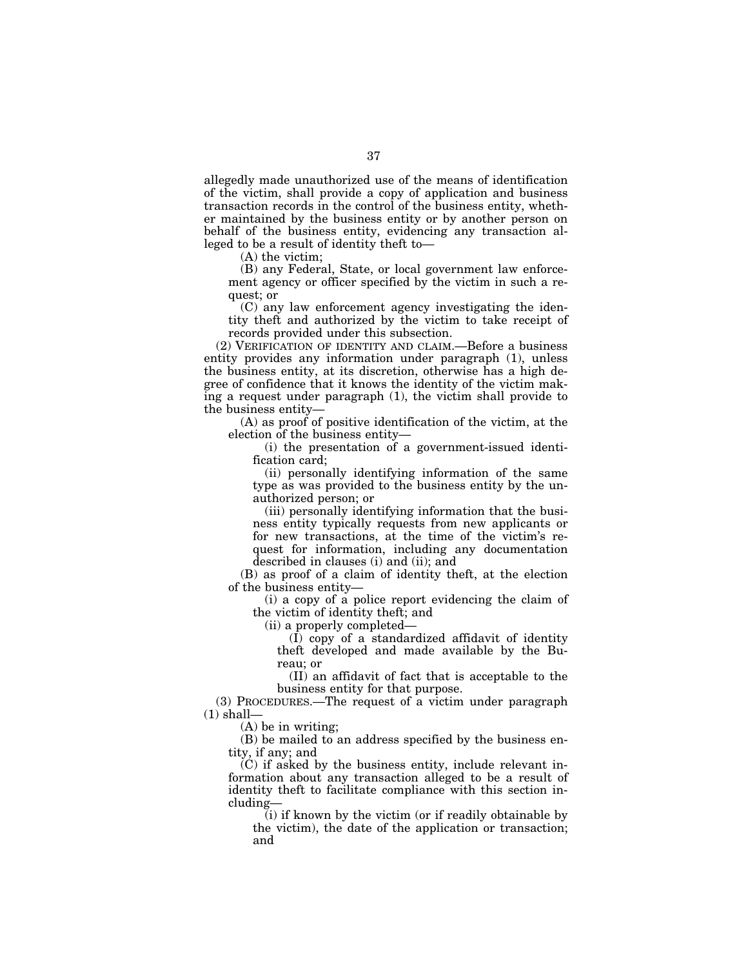allegedly made unauthorized use of the means of identification of the victim, shall provide a copy of application and business transaction records in the control of the business entity, whether maintained by the business entity or by another person on behalf of the business entity, evidencing any transaction alleged to be a result of identity theft to—

(A) the victim;

(B) any Federal, State, or local government law enforcement agency or officer specified by the victim in such a request; or

(C) any law enforcement agency investigating the identity theft and authorized by the victim to take receipt of records provided under this subsection.

(2) VERIFICATION OF IDENTITY AND CLAIM.—Before a business entity provides any information under paragraph (1), unless the business entity, at its discretion, otherwise has a high degree of confidence that it knows the identity of the victim making a request under paragraph (1), the victim shall provide to the business entity—

(A) as proof of positive identification of the victim, at the election of the business entity—

(i) the presentation of a government-issued identification card;

(ii) personally identifying information of the same type as was provided to the business entity by the unauthorized person; or

(iii) personally identifying information that the business entity typically requests from new applicants or for new transactions, at the time of the victim's request for information, including any documentation described in clauses (i) and (ii); and

(B) as proof of a claim of identity theft, at the election of the business entity—

(i) a copy of a police report evidencing the claim of the victim of identity theft; and

(ii) a properly completed—

(I) copy of a standardized affidavit of identity theft developed and made available by the Bureau; or

(II) an affidavit of fact that is acceptable to the business entity for that purpose.

(3) PROCEDURES.—The request of a victim under paragraph  $(1)$  shall-

(A) be in writing;

(B) be mailed to an address specified by the business entity, if any; and

(C) if asked by the business entity, include relevant information about any transaction alleged to be a result of identity theft to facilitate compliance with this section including—

(i) if known by the victim (or if readily obtainable by the victim), the date of the application or transaction; and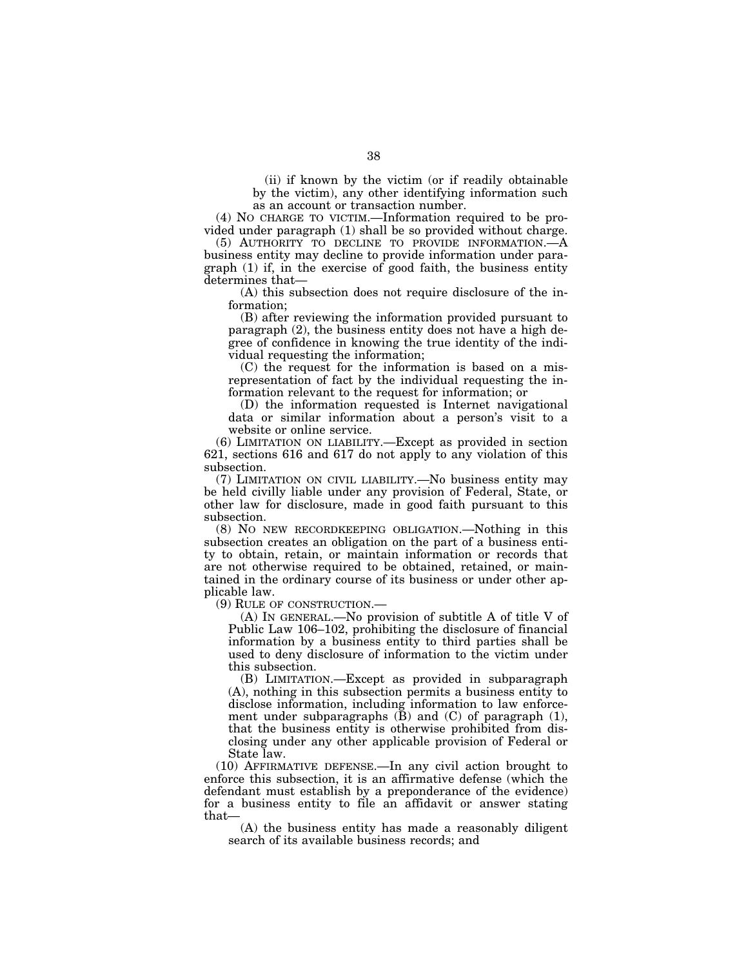(ii) if known by the victim (or if readily obtainable by the victim), any other identifying information such as an account or transaction number.

(4) NO CHARGE TO VICTIM.—Information required to be provided under paragraph (1) shall be so provided without charge.

(5) AUTHORITY TO DECLINE TO PROVIDE INFORMATION.—A business entity may decline to provide information under paragraph (1) if, in the exercise of good faith, the business entity determines that—

(A) this subsection does not require disclosure of the information;

(B) after reviewing the information provided pursuant to paragraph (2), the business entity does not have a high degree of confidence in knowing the true identity of the individual requesting the information;

(C) the request for the information is based on a misrepresentation of fact by the individual requesting the information relevant to the request for information; or

(D) the information requested is Internet navigational data or similar information about a person's visit to a website or online service.

(6) LIMITATION ON LIABILITY.—Except as provided in section 621, sections 616 and 617 do not apply to any violation of this subsection.

(7) LIMITATION ON CIVIL LIABILITY.—No business entity may be held civilly liable under any provision of Federal, State, or other law for disclosure, made in good faith pursuant to this subsection.

(8) NO NEW RECORDKEEPING OBLIGATION.—Nothing in this subsection creates an obligation on the part of a business entity to obtain, retain, or maintain information or records that are not otherwise required to be obtained, retained, or maintained in the ordinary course of its business or under other applicable law.

(9) RULE OF CONSTRUCTION.—

(A) IN GENERAL.—No provision of subtitle A of title V of Public Law 106–102, prohibiting the disclosure of financial information by a business entity to third parties shall be used to deny disclosure of information to the victim under this subsection.

(B) LIMITATION.—Except as provided in subparagraph (A), nothing in this subsection permits a business entity to disclose information, including information to law enforcement under subparagraphs (B) and (C) of paragraph (1), that the business entity is otherwise prohibited from disclosing under any other applicable provision of Federal or State law.

(10) AFFIRMATIVE DEFENSE.—In any civil action brought to enforce this subsection, it is an affirmative defense (which the defendant must establish by a preponderance of the evidence) for a business entity to file an affidavit or answer stating that—

(A) the business entity has made a reasonably diligent search of its available business records; and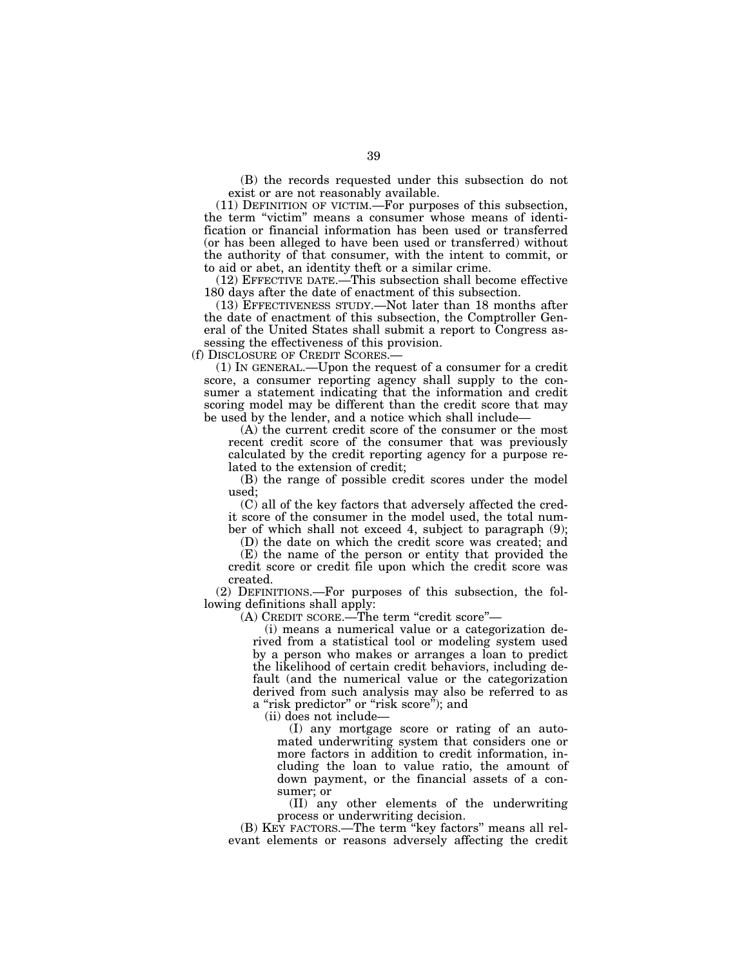(B) the records requested under this subsection do not exist or are not reasonably available.

(11) DEFINITION OF VICTIM.—For purposes of this subsection, the term "victim" means a consumer whose means of identification or financial information has been used or transferred (or has been alleged to have been used or transferred) without the authority of that consumer, with the intent to commit, or to aid or abet, an identity theft or a similar crime.

(12) EFFECTIVE DATE.—This subsection shall become effective 180 days after the date of enactment of this subsection.

(13) EFFECTIVENESS STUDY.—Not later than 18 months after the date of enactment of this subsection, the Comptroller General of the United States shall submit a report to Congress assessing the effectiveness of this provision.

(f) DISCLOSURE OF CREDIT SCORES.—

(1) IN GENERAL.—Upon the request of a consumer for a credit score, a consumer reporting agency shall supply to the consumer a statement indicating that the information and credit scoring model may be different than the credit score that may be used by the lender, and a notice which shall include—

(A) the current credit score of the consumer or the most recent credit score of the consumer that was previously calculated by the credit reporting agency for a purpose related to the extension of credit;

(B) the range of possible credit scores under the model used;

(C) all of the key factors that adversely affected the credit score of the consumer in the model used, the total number of which shall not exceed 4, subject to paragraph (9);

(D) the date on which the credit score was created; and

(E) the name of the person or entity that provided the credit score or credit file upon which the credit score was created.

(2) DEFINITIONS.—For purposes of this subsection, the following definitions shall apply:

(A) CREDIT SCORE.—The term ''credit score''—

(i) means a numerical value or a categorization derived from a statistical tool or modeling system used by a person who makes or arranges a loan to predict the likelihood of certain credit behaviors, including default (and the numerical value or the categorization derived from such analysis may also be referred to as a "risk predictor" or "risk score"); and

(ii) does not include—

(I) any mortgage score or rating of an automated underwriting system that considers one or more factors in addition to credit information, including the loan to value ratio, the amount of down payment, or the financial assets of a consumer; or

(II) any other elements of the underwriting process or underwriting decision.

(B) KEY FACTORS.—The term ''key factors'' means all relevant elements or reasons adversely affecting the credit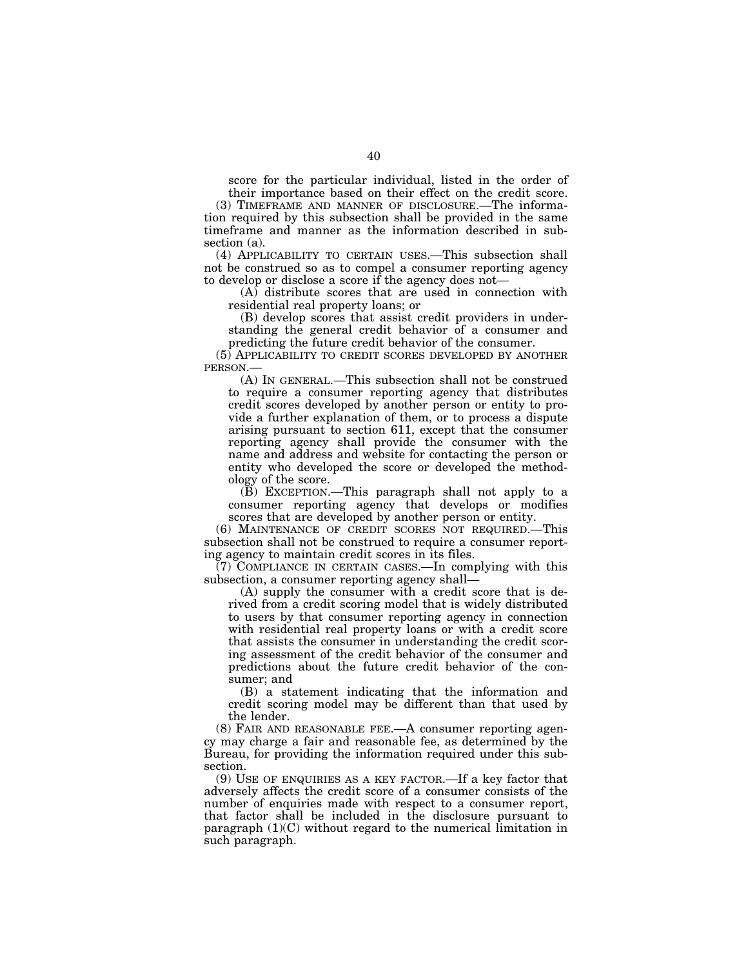score for the particular individual, listed in the order of their importance based on their effect on the credit score.

(3) TIMEFRAME AND MANNER OF DISCLOSURE.—The information required by this subsection shall be provided in the same timeframe and manner as the information described in subsection (a).

(4) APPLICABILITY TO CERTAIN USES.—This subsection shall not be construed so as to compel a consumer reporting agency to develop or disclose a score if the agency does not—

(A) distribute scores that are used in connection with residential real property loans; or

(B) develop scores that assist credit providers in understanding the general credit behavior of a consumer and predicting the future credit behavior of the consumer.

(5) APPLICABILITY TO CREDIT SCORES DEVELOPED BY ANOTHER PERSON.—

(A) IN GENERAL.—This subsection shall not be construed to require a consumer reporting agency that distributes credit scores developed by another person or entity to provide a further explanation of them, or to process a dispute arising pursuant to section 611, except that the consumer reporting agency shall provide the consumer with the name and address and website for contacting the person or entity who developed the score or developed the methodology of the score.

(B) EXCEPTION.—This paragraph shall not apply to a consumer reporting agency that develops or modifies scores that are developed by another person or entity.

(6) MAINTENANCE OF CREDIT SCORES NOT REQUIRED.—This subsection shall not be construed to require a consumer reporting agency to maintain credit scores in its files.

(7) COMPLIANCE IN CERTAIN CASES.—In complying with this subsection, a consumer reporting agency shall—

(A) supply the consumer with a credit score that is derived from a credit scoring model that is widely distributed to users by that consumer reporting agency in connection with residential real property loans or with a credit score that assists the consumer in understanding the credit scoring assessment of the credit behavior of the consumer and predictions about the future credit behavior of the consumer; and

(B) a statement indicating that the information and credit scoring model may be different than that used by the lender.

(8) FAIR AND REASONABLE FEE.—A consumer reporting agency may charge a fair and reasonable fee, as determined by the Bureau, for providing the information required under this subsection.

(9) USE OF ENQUIRIES AS A KEY FACTOR.—If a key factor that adversely affects the credit score of a consumer consists of the number of enquiries made with respect to a consumer report, that factor shall be included in the disclosure pursuant to paragraph  $(1)(C)$  without regard to the numerical limitation in such paragraph.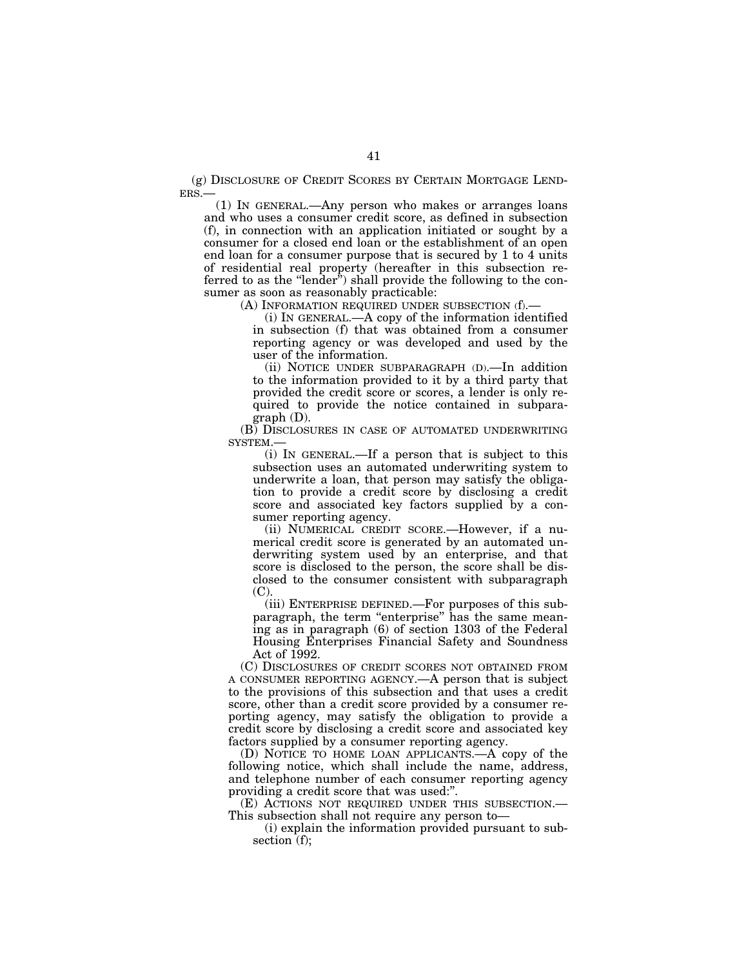(g) DISCLOSURE OF CREDIT SCORES BY CERTAIN MORTGAGE LEND-ERS.—

(1) IN GENERAL.—Any person who makes or arranges loans and who uses a consumer credit score, as defined in subsection (f), in connection with an application initiated or sought by a consumer for a closed end loan or the establishment of an open end loan for a consumer purpose that is secured by 1 to 4 units of residential real property (hereafter in this subsection referred to as the "lender") shall provide the following to the consumer as soon as reasonably practicable:

(A) INFORMATION REQUIRED UNDER SUBSECTION (f).—

(i) IN GENERAL.—A copy of the information identified in subsection (f) that was obtained from a consumer reporting agency or was developed and used by the user of the information.

(ii) NOTICE UNDER SUBPARAGRAPH (D).—In addition to the information provided to it by a third party that provided the credit score or scores, a lender is only required to provide the notice contained in subparagraph (D).

(B) DISCLOSURES IN CASE OF AUTOMATED UNDERWRITING SYSTEM.—

(i) IN GENERAL.—If a person that is subject to this subsection uses an automated underwriting system to underwrite a loan, that person may satisfy the obligation to provide a credit score by disclosing a credit score and associated key factors supplied by a consumer reporting agency.

(ii) NUMERICAL CREDIT SCORE.—However, if a numerical credit score is generated by an automated underwriting system used by an enterprise, and that score is disclosed to the person, the score shall be disclosed to the consumer consistent with subparagraph  $(C).$ 

(iii) ENTERPRISE DEFINED.—For purposes of this subparagraph, the term "enterprise" has the same meaning as in paragraph (6) of section 1303 of the Federal Housing Enterprises Financial Safety and Soundness Act of 1992.

(C) DISCLOSURES OF CREDIT SCORES NOT OBTAINED FROM A CONSUMER REPORTING AGENCY.—A person that is subject to the provisions of this subsection and that uses a credit score, other than a credit score provided by a consumer reporting agency, may satisfy the obligation to provide a credit score by disclosing a credit score and associated key factors supplied by a consumer reporting agency.

(D) NOTICE TO HOME LOAN APPLICANTS.—A copy of the following notice, which shall include the name, address, and telephone number of each consumer reporting agency providing a credit score that was used:''.

(E) ACTIONS NOT REQUIRED UNDER THIS SUBSECTION.— This subsection shall not require any person to—

(i) explain the information provided pursuant to subsection (f);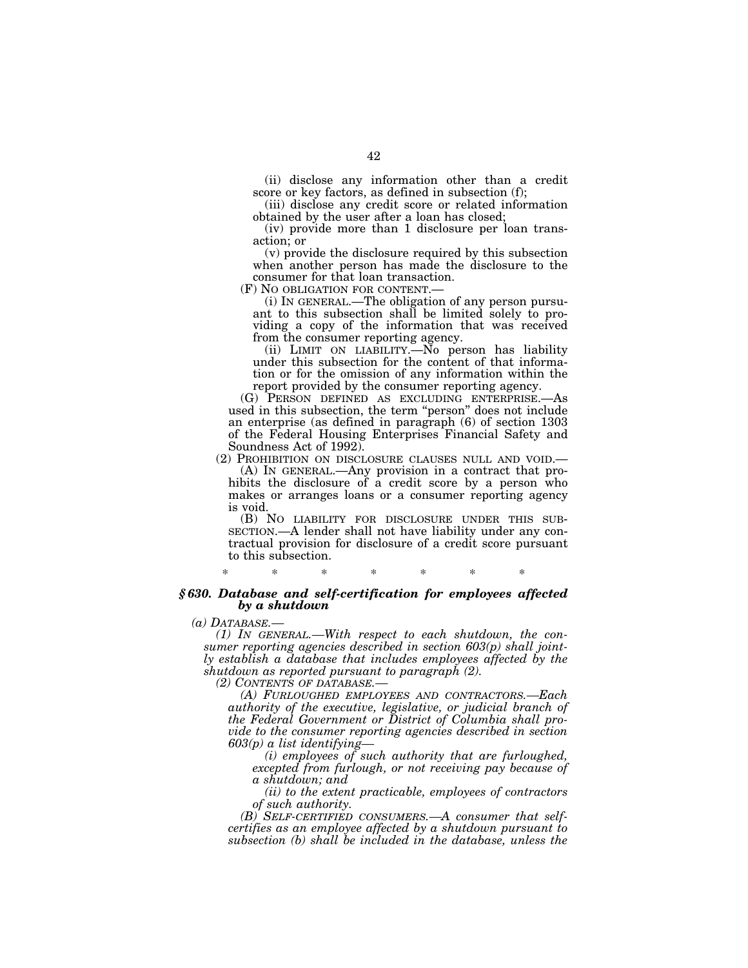(ii) disclose any information other than a credit score or key factors, as defined in subsection (f);

(iii) disclose any credit score or related information obtained by the user after a loan has closed;

(iv) provide more than 1 disclosure per loan transaction; or

(v) provide the disclosure required by this subsection when another person has made the disclosure to the consumer for that loan transaction.

(F) NO OBLIGATION FOR CONTENT.— (i) IN GENERAL.—The obligation of any person pursuant to this subsection shall be limited solely to providing a copy of the information that was received from the consumer reporting agency.

(ii) LIMIT ON LIABILITY.—No person has liability under this subsection for the content of that information or for the omission of any information within the report provided by the consumer reporting agency.

(G) PERSON DEFINED AS EXCLUDING ENTERPRISE.—As used in this subsection, the term "person" does not include an enterprise (as defined in paragraph (6) of section 1303 of the Federal Housing Enterprises Financial Safety and Soundness Act of 1992).

(2) PROHIBITION ON DISCLOSURE CLAUSES NULL AND VOID.— (A) IN GENERAL.—Any provision in a contract that pro-

hibits the disclosure of a credit score by a person who makes or arranges loans or a consumer reporting agency

is void.<br>(B) NO LIABILITY FOR DISCLOSURE UNDER THIS SUB- $SECTION.$  A lender shall not have liability under any contractual provision for disclosure of a credit score pursuant to this subsection.

\* \* \* \* \* \* \*

#### *§ 630. Database and self-certification for employees affected by a shutdown*

*(a) DATABASE.— (1) IN GENERAL.—With respect to each shutdown, the consumer reporting agencies described in section 603(p) shall jointly establish a database that includes employees affected by the shutdown as reported pursuant to paragraph (2).* 

*(A) FURLOUGHED EMPLOYEES AND CONTRACTORS.—Each authority of the executive, legislative, or judicial branch of the Federal Government or District of Columbia shall provide to the consumer reporting agencies described in section 603(p) a list identifying—* 

*(i) employees of such authority that are furloughed, excepted from furlough, or not receiving pay because of a shutdown; and* 

*(ii) to the extent practicable, employees of contractors of such authority.* 

*(B) SELF-CERTIFIED CONSUMERS.—A consumer that selfcertifies as an employee affected by a shutdown pursuant to subsection (b) shall be included in the database, unless the*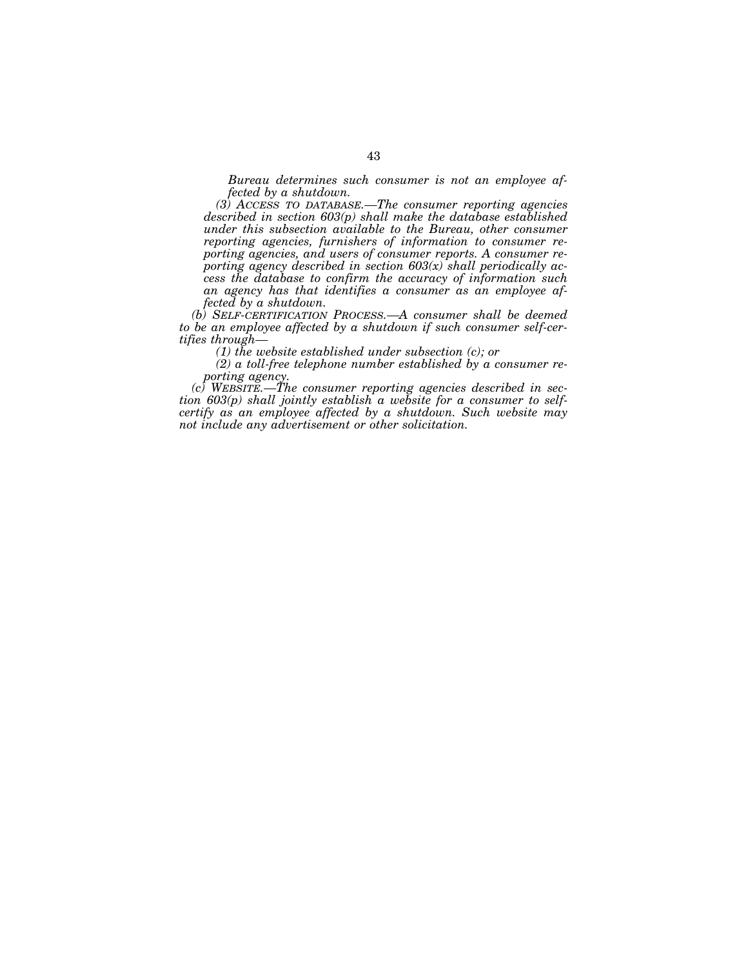*Bureau determines such consumer is not an employee affected by a shutdown.* 

*(3) ACCESS TO DATABASE.—The consumer reporting agencies described in section 603(p) shall make the database established under this subsection available to the Bureau, other consumer reporting agencies, furnishers of information to consumer reporting agencies, and users of consumer reports. A consumer reporting agency described in section 603(x) shall periodically access the database to confirm the accuracy of information such an agency has that identifies a consumer as an employee affected by a shutdown.* 

*(b) SELF-CERTIFICATION PROCESS.—A consumer shall be deemed to be an employee affected by a shutdown if such consumer self-certifies through—* 

*(1) the website established under subsection (c); or* 

*(2) a toll-free telephone number established by a consumer reporting agency.* 

*(c) WEBSITE.—The consumer reporting agencies described in section 603(p) shall jointly establish a website for a consumer to selfcertify as an employee affected by a shutdown. Such website may not include any advertisement or other solicitation.*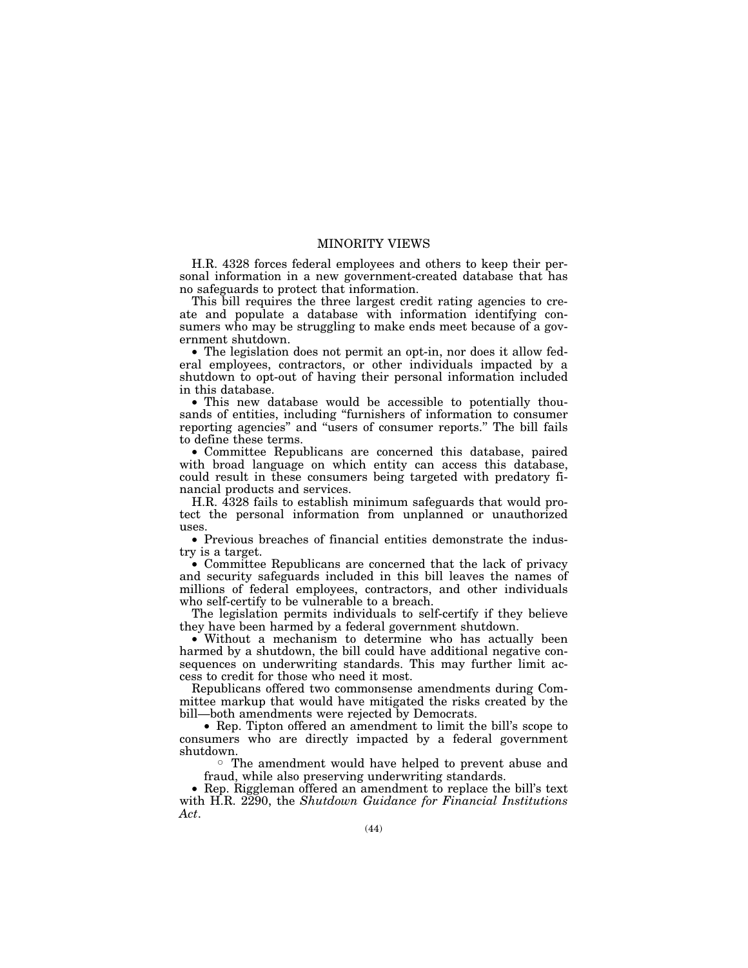# MINORITY VIEWS

H.R. 4328 forces federal employees and others to keep their personal information in a new government-created database that has no safeguards to protect that information.

This bill requires the three largest credit rating agencies to create and populate a database with information identifying consumers who may be struggling to make ends meet because of a government shutdown.

• The legislation does not permit an opt-in, nor does it allow federal employees, contractors, or other individuals impacted by a shutdown to opt-out of having their personal information included in this database.

• This new database would be accessible to potentially thousands of entities, including "furnishers of information to consumer reporting agencies'' and ''users of consumer reports.'' The bill fails to define these terms.

• Committee Republicans are concerned this database, paired with broad language on which entity can access this database, could result in these consumers being targeted with predatory financial products and services.

H.R. 4328 fails to establish minimum safeguards that would protect the personal information from unplanned or unauthorized uses.

• Previous breaches of financial entities demonstrate the industry is a target.

• Committee Republicans are concerned that the lack of privacy and security safeguards included in this bill leaves the names of millions of federal employees, contractors, and other individuals who self-certify to be vulnerable to a breach.

The legislation permits individuals to self-certify if they believe they have been harmed by a federal government shutdown.

• Without a mechanism to determine who has actually been harmed by a shutdown, the bill could have additional negative consequences on underwriting standards. This may further limit access to credit for those who need it most.

Republicans offered two commonsense amendments during Committee markup that would have mitigated the risks created by the bill—both amendments were rejected by Democrats.

• Rep. Tipton offered an amendment to limit the bill's scope to consumers who are directly impacted by a federal government shutdown.

» The amendment would have helped to prevent abuse and fraud, while also preserving underwriting standards.

• Rep. Riggleman offered an amendment to replace the bill's text with H.R. 2290, the *Shutdown Guidance for Financial Institutions Act*.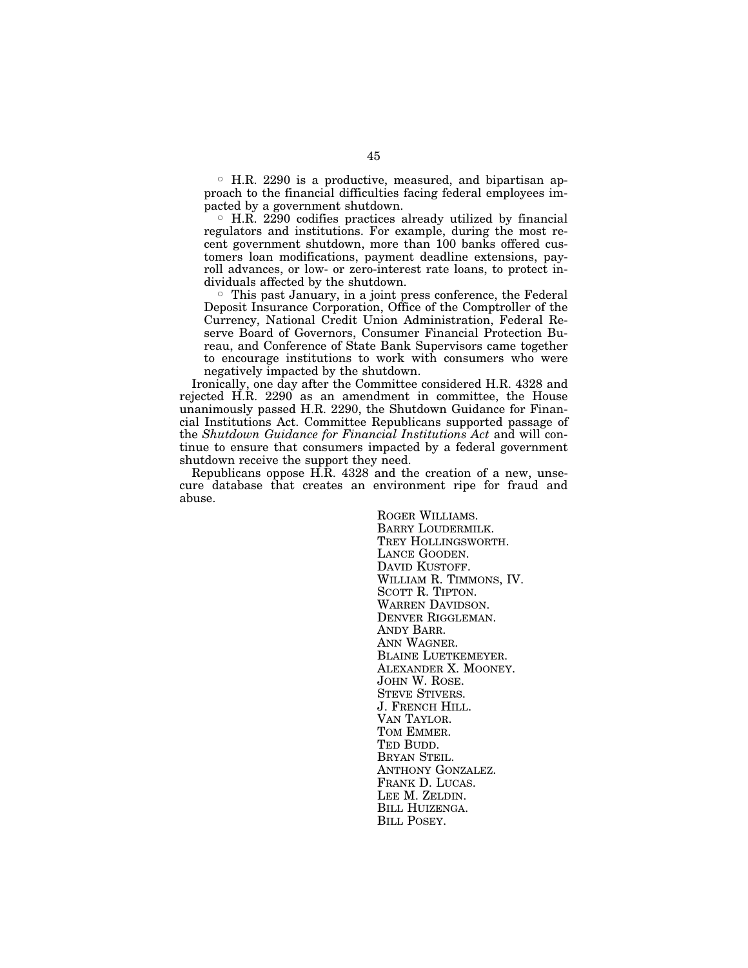» H.R. 2290 is a productive, measured, and bipartisan approach to the financial difficulties facing federal employees impacted by a government shutdown.

» H.R. 2290 codifies practices already utilized by financial regulators and institutions. For example, during the most recent government shutdown, more than 100 banks offered customers loan modifications, payment deadline extensions, payroll advances, or low- or zero-interest rate loans, to protect individuals affected by the shutdown.

» This past January, in a joint press conference, the Federal Deposit Insurance Corporation, Office of the Comptroller of the Currency, National Credit Union Administration, Federal Reserve Board of Governors, Consumer Financial Protection Bureau, and Conference of State Bank Supervisors came together to encourage institutions to work with consumers who were negatively impacted by the shutdown.

Ironically, one day after the Committee considered H.R. 4328 and rejected H.R. 2290 as an amendment in committee, the House unanimously passed H.R. 2290, the Shutdown Guidance for Financial Institutions Act. Committee Republicans supported passage of the *Shutdown Guidance for Financial Institutions Act* and will continue to ensure that consumers impacted by a federal government shutdown receive the support they need.

Republicans oppose H.R. 4328 and the creation of a new, unsecure database that creates an environment ripe for fraud and abuse.

> ROGER WILLIAMS. BARRY LOUDERMILK. TREY HOLLINGSWORTH. LANCE GOODEN. DAVID KUSTOFF. WILLIAM R. TIMMONS, IV. SCOTT R. TIPTON. WARREN DAVIDSON. DENVER RIGGLEMAN. ANDY BARR. ANN WAGNER. BLAINE LUETKEMEYER. ALEXANDER X. MOONEY. JOHN W. ROSE. STEVE STIVERS. J. FRENCH HILL. VAN TAYLOR. TOM EMMER. TED BUDD. BRYAN STEIL. ANTHONY GONZALEZ. FRANK D. LUCAS. LEE M. ZELDIN. BILL HUIZENGA. BILL POSEY.